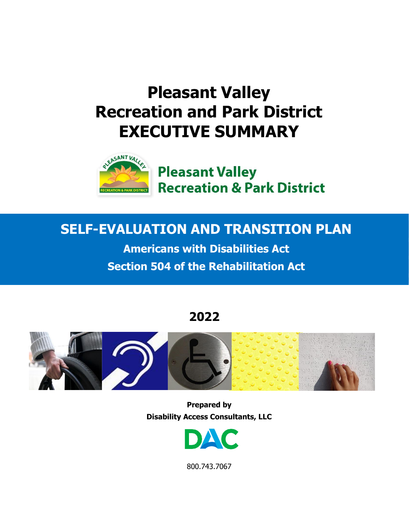# **Pleasant Valley Recreation and Park District EXECUTIVE SUMMARY**



## **SELF-EVALUATION AND TRANSITION PLAN**

**Americans with Disabilities Act Section 504 of the Rehabilitation Act**

## **2022**



**Prepared by Disability Access Consultants, LLC**



800.743.7067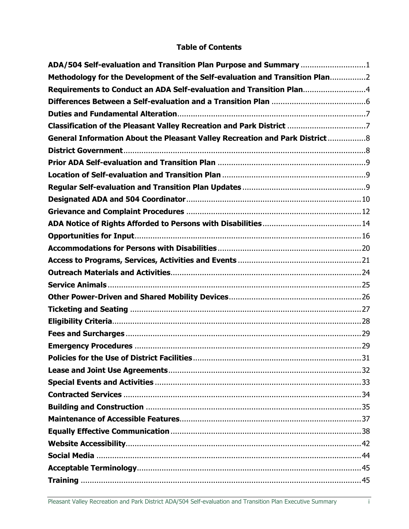## **Table of Contents**

| ADA/504 Self-evaluation and Transition Plan Purpose and Summary 1            |  |
|------------------------------------------------------------------------------|--|
| Methodology for the Development of the Self-evaluation and Transition Plan2  |  |
| Requirements to Conduct an ADA Self-evaluation and Transition Plan4          |  |
|                                                                              |  |
|                                                                              |  |
| Classification of the Pleasant Valley Recreation and Park District 7         |  |
| General Information About the Pleasant Valley Recreation and Park District 8 |  |
|                                                                              |  |
|                                                                              |  |
|                                                                              |  |
|                                                                              |  |
|                                                                              |  |
|                                                                              |  |
|                                                                              |  |
|                                                                              |  |
|                                                                              |  |
|                                                                              |  |
|                                                                              |  |
|                                                                              |  |
|                                                                              |  |
|                                                                              |  |
|                                                                              |  |
|                                                                              |  |
|                                                                              |  |
|                                                                              |  |
|                                                                              |  |
|                                                                              |  |
|                                                                              |  |
|                                                                              |  |
|                                                                              |  |
|                                                                              |  |
|                                                                              |  |
|                                                                              |  |
|                                                                              |  |
|                                                                              |  |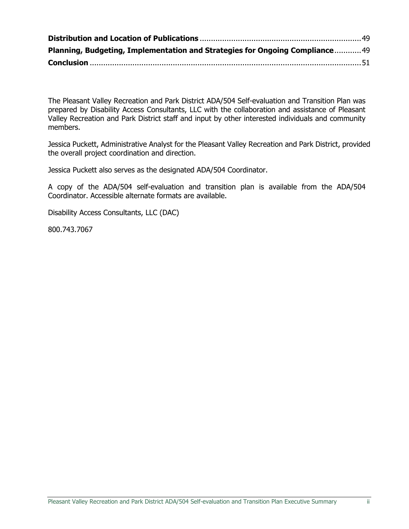| Planning, Budgeting, Implementation and Strategies for Ongoing Compliance49 |  |
|-----------------------------------------------------------------------------|--|
|                                                                             |  |

The Pleasant Valley Recreation and Park District ADA/504 Self-evaluation and Transition Plan was prepared by Disability Access Consultants, LLC with the collaboration and assistance of Pleasant Valley Recreation and Park District staff and input by other interested individuals and community members.

Jessica Puckett, Administrative Analyst for the Pleasant Valley Recreation and Park District, provided the overall project coordination and direction.

Jessica Puckett also serves as the designated ADA/504 Coordinator.

A copy of the ADA/504 self-evaluation and transition plan is available from the ADA/504 Coordinator. Accessible alternate formats are available.

Disability Access Consultants, LLC (DAC)

800.743.7067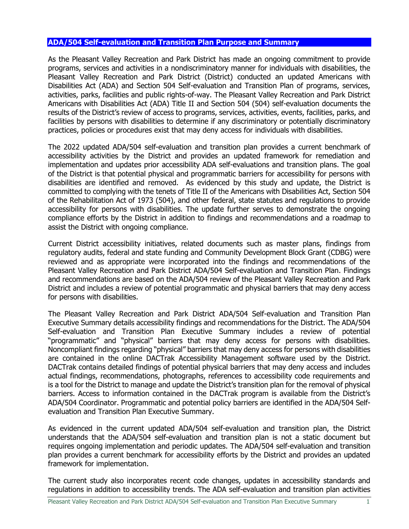#### <span id="page-3-0"></span>**ADA/504 Self-evaluation and Transition Plan Purpose and Summary**

As the Pleasant Valley Recreation and Park District has made an ongoing commitment to provide programs, services and activities in a nondiscriminatory manner for individuals with disabilities, the Pleasant Valley Recreation and Park District (District) conducted an updated Americans with Disabilities Act (ADA) and Section 504 Self-evaluation and Transition Plan of programs, services, activities, parks, facilities and public rights-of-way. The Pleasant Valley Recreation and Park District Americans with Disabilities Act (ADA) Title II and Section 504 (504) self-evaluation documents the results of the District's review of access to programs, services, activities, events, facilities, parks, and facilities by persons with disabilities to determine if any discriminatory or potentially discriminatory practices, policies or procedures exist that may deny access for individuals with disabilities.

The 2022 updated ADA/504 self-evaluation and transition plan provides a current benchmark of accessibility activities by the District and provides an updated framework for remediation and implementation and updates prior accessibility ADA self-evaluations and transition plans. The goal of the District is that potential physical and programmatic barriers for accessibility for persons with disabilities are identified and removed. As evidenced by this study and update, the District is committed to complying with the tenets of Title II of the Americans with Disabilities Act, Section 504 of the Rehabilitation Act of 1973 (504), and other federal, state statutes and regulations to provide accessibility for persons with disabilities. The update further serves to demonstrate the ongoing compliance efforts by the District in addition to findings and recommendations and a roadmap to assist the District with ongoing compliance.

Current District accessibility initiatives, related documents such as master plans, findings from regulatory audits, federal and state funding and Community Development Block Grant (CDBG) were reviewed and as appropriate were incorporated into the findings and recommendations of the Pleasant Valley Recreation and Park District ADA/504 Self-evaluation and Transition Plan. Findings and recommendations are based on the ADA/504 review of the Pleasant Valley Recreation and Park District and includes a review of potential programmatic and physical barriers that may deny access for persons with disabilities.

The Pleasant Valley Recreation and Park District ADA/504 Self-evaluation and Transition Plan Executive Summary details accessibility findings and recommendations for the District. The ADA/504 Self-evaluation and Transition Plan Executive Summary includes a review of potential "programmatic" and "physical" barriers that may deny access for persons with disabilities. Noncompliant findings regarding "physical" barriers that may deny access for persons with disabilities are contained in the online DACTrak Accessibility Management software used by the District. DACTrak contains detailed findings of potential physical barriers that may deny access and includes actual findings, recommendations, photographs, references to accessibility code requirements and is a tool for the District to manage and update the District's transition plan for the removal of physical barriers. Access to information contained in the DACTrak program is available from the District's ADA/504 Coordinator. Programmatic and potential policy barriers are identified in the ADA/504 Selfevaluation and Transition Plan Executive Summary.

As evidenced in the current updated ADA/504 self-evaluation and transition plan, the District understands that the ADA/504 self-evaluation and transition plan is not a static document but requires ongoing implementation and periodic updates. The ADA/504 self-evaluation and transition plan provides a current benchmark for accessibility efforts by the District and provides an updated framework for implementation.

The current study also incorporates recent code changes, updates in accessibility standards and regulations in addition to accessibility trends. The ADA self-evaluation and transition plan activities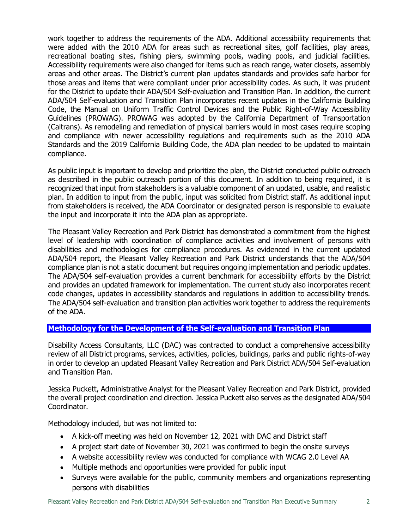work together to address the requirements of the ADA. Additional accessibility requirements that were added with the 2010 ADA for areas such as recreational sites, golf facilities, play areas, recreational boating sites, fishing piers, swimming pools, wading pools, and judicial facilities. Accessibility requirements were also changed for items such as reach range, water closets, assembly areas and other areas. The District's current plan updates standards and provides safe harbor for those areas and items that were compliant under prior accessibility codes. As such, it was prudent for the District to update their ADA/504 Self-evaluation and Transition Plan. In addition, the current ADA/504 Self-evaluation and Transition Plan incorporates recent updates in the California Building Code, the Manual on Uniform Traffic Control Devices and the Public Right-of-Way Accessibility Guidelines (PROWAG). PROWAG was adopted by the California Department of Transportation (Caltrans). As remodeling and remediation of physical barriers would in most cases require scoping and compliance with newer accessibility regulations and requirements such as the 2010 ADA Standards and the 2019 California Building Code, the ADA plan needed to be updated to maintain compliance.

As public input is important to develop and prioritize the plan, the District conducted public outreach as described in the public outreach portion of this document. In addition to being required, it is recognized that input from stakeholders is a valuable component of an updated, usable, and realistic plan. In addition to input from the public, input was solicited from District staff. As additional input from stakeholders is received, the ADA Coordinator or designated person is responsible to evaluate the input and incorporate it into the ADA plan as appropriate.

The Pleasant Valley Recreation and Park District has demonstrated a commitment from the highest level of leadership with coordination of compliance activities and involvement of persons with disabilities and methodologies for compliance procedures. As evidenced in the current updated ADA/504 report, the Pleasant Valley Recreation and Park District understands that the ADA/504 compliance plan is not a static document but requires ongoing implementation and periodic updates. The ADA/504 self-evaluation provides a current benchmark for accessibility efforts by the District and provides an updated framework for implementation. The current study also incorporates recent code changes, updates in accessibility standards and regulations in addition to accessibility trends. The ADA/504 self-evaluation and transition plan activities work together to address the requirements of the ADA.

## <span id="page-4-0"></span>**Methodology for the Development of the Self-evaluation and Transition Plan**

Disability Access Consultants, LLC (DAC) was contracted to conduct a comprehensive accessibility review of all District programs, services, activities, policies, buildings, parks and public rights-of-way in order to develop an updated Pleasant Valley Recreation and Park District ADA/504 Self-evaluation and Transition Plan.

Jessica Puckett, Administrative Analyst for the Pleasant Valley Recreation and Park District, provided the overall project coordination and direction. Jessica Puckett also serves as the designated ADA/504 Coordinator.

Methodology included, but was not limited to:

- A kick-off meeting was held on November 12, 2021 with DAC and District staff
- A project start date of November 30, 2021 was confirmed to begin the onsite surveys
- A website accessibility review was conducted for compliance with WCAG 2.0 Level AA
- Multiple methods and opportunities were provided for public input
- Surveys were available for the public, community members and organizations representing persons with disabilities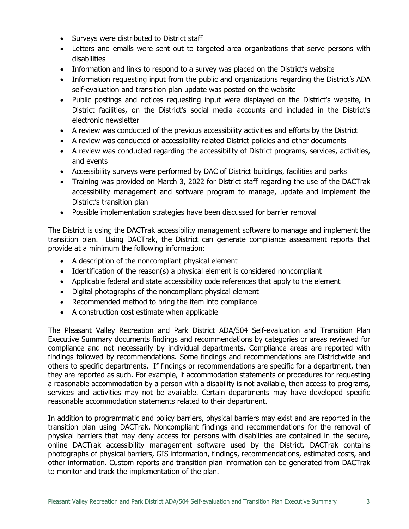- Surveys were distributed to District staff
- Letters and emails were sent out to targeted area organizations that serve persons with disabilities
- Information and links to respond to a survey was placed on the District's website
- Information requesting input from the public and organizations regarding the District's ADA self-evaluation and transition plan update was posted on the website
- Public postings and notices requesting input were displayed on the District's website, in District facilities, on the District's social media accounts and included in the District's electronic newsletter
- A review was conducted of the previous accessibility activities and efforts by the District
- A review was conducted of accessibility related District policies and other documents
- A review was conducted regarding the accessibility of District programs, services, activities, and events
- Accessibility surveys were performed by DAC of District buildings, facilities and parks
- Training was provided on March 3, 2022 for District staff regarding the use of the DACTrak accessibility management and software program to manage, update and implement the District's transition plan
- Possible implementation strategies have been discussed for barrier removal

The District is using the DACTrak accessibility management software to manage and implement the transition plan. Using DACTrak, the District can generate compliance assessment reports that provide at a minimum the following information:

- A description of the noncompliant physical element
- Identification of the reason(s) a physical element is considered noncompliant
- Applicable federal and state accessibility code references that apply to the element
- Digital photographs of the noncompliant physical element
- Recommended method to bring the item into compliance
- A construction cost estimate when applicable

The Pleasant Valley Recreation and Park District ADA/504 Self-evaluation and Transition Plan Executive Summary documents findings and recommendations by categories or areas reviewed for compliance and not necessarily by individual departments. Compliance areas are reported with findings followed by recommendations. Some findings and recommendations are Districtwide and others to specific departments. If findings or recommendations are specific for a department, then they are reported as such. For example, if accommodation statements or procedures for requesting a reasonable accommodation by a person with a disability is not available, then access to programs, services and activities may not be available. Certain departments may have developed specific reasonable accommodation statements related to their department.

In addition to programmatic and policy barriers, physical barriers may exist and are reported in the transition plan using DACTrak. Noncompliant findings and recommendations for the removal of physical barriers that may deny access for persons with disabilities are contained in the secure, online DACTrak accessibility management software used by the District. DACTrak contains photographs of physical barriers, GIS information, findings, recommendations, estimated costs, and other information. Custom reports and transition plan information can be generated from DACTrak to monitor and track the implementation of the plan.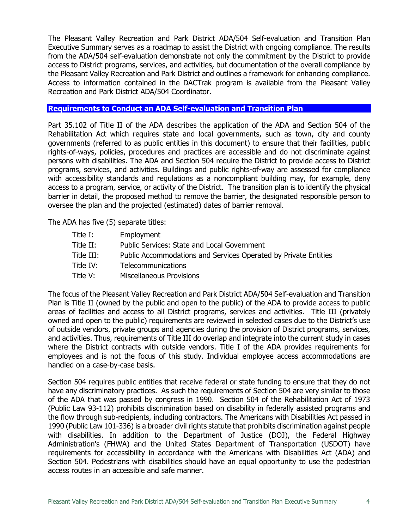The Pleasant Valley Recreation and Park District ADA/504 Self-evaluation and Transition Plan Executive Summary serves as a roadmap to assist the District with ongoing compliance. The results from the ADA/504 self-evaluation demonstrate not only the commitment by the District to provide access to District programs, services, and activities, but documentation of the overall compliance by the Pleasant Valley Recreation and Park District and outlines a framework for enhancing compliance. Access to information contained in the DACTrak program is available from the Pleasant Valley Recreation and Park District ADA/504 Coordinator.

#### <span id="page-6-0"></span>**Requirements to Conduct an ADA Self-evaluation and Transition Plan**

Part 35.102 of Title II of the ADA describes the application of the ADA and Section 504 of the Rehabilitation Act which requires state and local governments, such as town, city and county governments (referred to as public entities in this document) to ensure that their facilities, public rights-of-ways, policies, procedures and practices are accessible and do not discriminate against persons with disabilities. The ADA and Section 504 require the District to provide access to District programs, services, and activities. Buildings and public rights-of-way are assessed for compliance with accessibility standards and regulations as a noncompliant building may, for example, deny access to a program, service, or activity of the District. The transition plan is to identify the physical barrier in detail, the proposed method to remove the barrier, the designated responsible person to oversee the plan and the projected (estimated) dates of barrier removal.

The ADA has five (5) separate titles:

| Title I:   | Employment                                                      |
|------------|-----------------------------------------------------------------|
| Title II:  | Public Services: State and Local Government                     |
| Title III: | Public Accommodations and Services Operated by Private Entities |
| Title IV:  | <b>Telecommunications</b>                                       |
| Title V:   | <b>Miscellaneous Provisions</b>                                 |

The focus of the Pleasant Valley Recreation and Park District ADA/504 Self-evaluation and Transition Plan is Title II (owned by the public and open to the public) of the ADA to provide access to public areas of facilities and access to all District programs, services and activities. Title III (privately owned and open to the public) requirements are reviewed in selected cases due to the District's use of outside vendors, private groups and agencies during the provision of District programs, services, and activities. Thus, requirements of Title III do overlap and integrate into the current study in cases where the District contracts with outside vendors. Title I of the ADA provides requirements for employees and is not the focus of this study. Individual employee access accommodations are handled on a case-by-case basis.

Section 504 requires public entities that receive federal or state funding to ensure that they do not have any discriminatory practices. As such the requirements of Section 504 are very similar to those of the ADA that was passed by congress in 1990. Section 504 of the Rehabilitation Act of 1973 (Public Law 93-112) prohibits discrimination based on disability in federally assisted programs and the flow through sub-recipients, including contractors. The Americans with Disabilities Act passed in 1990 (Public Law 101-336) is a broader civil rights statute that prohibits discrimination against people with disabilities. In addition to the Department of Justice (DOJ), the Federal Highway Administration's (FHWA) and the United States Department of Transportation (USDOT) have requirements for accessibility in accordance with the Americans with Disabilities Act (ADA) and Section 504. Pedestrians with disabilities should have an equal opportunity to use the pedestrian access routes in an accessible and safe manner.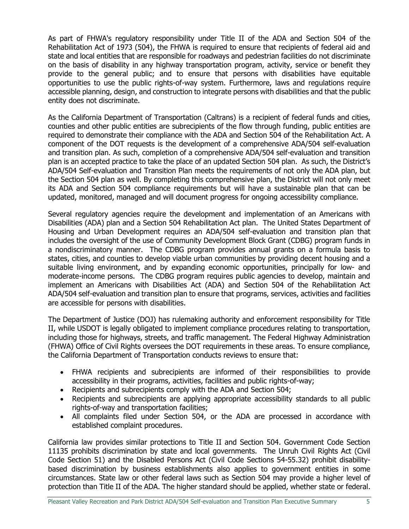As part of FHWA's regulatory responsibility under Title II of the ADA and Section 504 of the Rehabilitation Act of 1973 (504), the FHWA is required to ensure that recipients of federal aid and state and local entities that are responsible for roadways and pedestrian facilities do not discriminate on the basis of disability in any highway transportation program, activity, service or benefit they provide to the general public; and to ensure that persons with disabilities have equitable opportunities to use the public rights-of-way system. Furthermore, laws and regulations require accessible planning, design, and construction to integrate persons with disabilities and that the public entity does not discriminate.

As the California Department of Transportation (Caltrans) is a recipient of federal funds and cities, counties and other public entities are subrecipients of the flow through funding, public entities are required to demonstrate their compliance with the ADA and Section 504 of the Rehabilitation Act. A component of the DOT requests is the development of a comprehensive ADA/504 self-evaluation and transition plan. As such, completion of a comprehensive ADA/504 self-evaluation and transition plan is an accepted practice to take the place of an updated Section 504 plan. As such, the District's ADA/504 Self-evaluation and Transition Plan meets the requirements of not only the ADA plan, but the Section 504 plan as well. By completing this comprehensive plan, the District will not only meet its ADA and Section 504 compliance requirements but will have a sustainable plan that can be updated, monitored, managed and will document progress for ongoing accessibility compliance.

Several regulatory agencies require the development and implementation of an Americans with Disabilities (ADA) plan and a Section 504 Rehabilitation Act plan. The United States Department of Housing and Urban Development requires an ADA/504 self-evaluation and transition plan that includes the oversight of the use of Community Development Block Grant (CDBG) program funds in a nondiscriminatory manner. The CDBG program provides annual grants on a formula basis to states, cities, and counties to develop viable urban communities by providing decent housing and a suitable living environment, and by expanding economic opportunities, principally for low- and moderate-income persons. The CDBG program requires public agencies to develop, maintain and implement an Americans with Disabilities Act (ADA) and Section 504 of the Rehabilitation Act ADA/504 self-evaluation and transition plan to ensure that programs, services, activities and facilities are accessible for persons with disabilities.

The Department of Justice (DOJ) has rulemaking authority and enforcement responsibility for Title II, while USDOT is legally obligated to implement compliance procedures relating to transportation, including those for highways, streets, and traffic management. The Federal Highway Administration (FHWA) Office of Civil Rights oversees the DOT requirements in these areas. To ensure compliance, the California Department of Transportation conducts reviews to ensure that:

- FHWA recipients and subrecipients are informed of their responsibilities to provide accessibility in their programs, activities, facilities and public rights-of-way;
- Recipients and subrecipients comply with the ADA and Section 504;
- Recipients and subrecipients are applying appropriate accessibility standards to all public rights-of-way and transportation facilities;
- All complaints filed under Section 504, or the ADA are processed in accordance with established complaint procedures.

California law provides similar protections to Title II and Section 504. Government Code Section 11135 prohibits discrimination by state and local governments. The Unruh Civil Rights Act (Civil Code Section 51) and the Disabled Persons Act (Civil Code Sections 54-55.32) prohibit disabilitybased discrimination by business establishments also applies to government entities in some circumstances. State law or other federal laws such as Section 504 may provide a higher level of protection than Title II of the ADA. The higher standard should be applied, whether state or federal.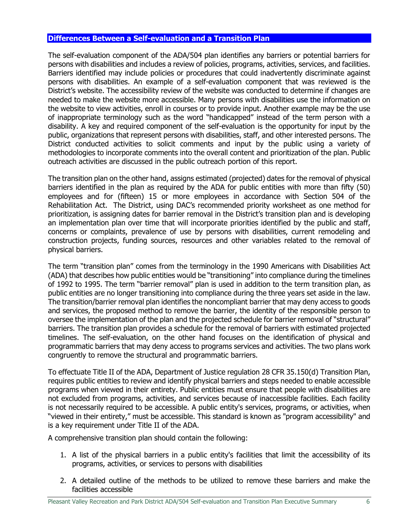## <span id="page-8-0"></span>**Differences Between a Self-evaluation and a Transition Plan**

The self-evaluation component of the ADA/504 plan identifies any barriers or potential barriers for persons with disabilities and includes a review of policies, programs, activities, services, and facilities. Barriers identified may include policies or procedures that could inadvertently discriminate against persons with disabilities. An example of a self-evaluation component that was reviewed is the District's website. The accessibility review of the website was conducted to determine if changes are needed to make the website more accessible. Many persons with disabilities use the information on the website to view activities, enroll in courses or to provide input. Another example may be the use of inappropriate terminology such as the word "handicapped" instead of the term person with a disability. A key and required component of the self-evaluation is the opportunity for input by the public, organizations that represent persons with disabilities, staff, and other interested persons. The District conducted activities to solicit comments and input by the public using a variety of methodologies to incorporate comments into the overall content and prioritization of the plan. Public outreach activities are discussed in the public outreach portion of this report.

The transition plan on the other hand, assigns estimated (projected) dates for the removal of physical barriers identified in the plan as required by the ADA for public entities with more than fifty (50) employees and for (fifteen) 15 or more employees in accordance with Section 504 of the Rehabilitation Act. The District, using DAC's recommended priority worksheet as one method for prioritization, is assigning dates for barrier removal in the District's transition plan and is developing an implementation plan over time that will incorporate priorities identified by the public and staff, concerns or complaints, prevalence of use by persons with disabilities, current remodeling and construction projects, funding sources, resources and other variables related to the removal of physical barriers.

The term "transition plan" comes from the terminology in the 1990 Americans with Disabilities Act (ADA) that describes how public entities would be "transitioning" into compliance during the timelines of 1992 to 1995. The term "barrier removal" plan is used in addition to the term transition plan, as public entities are no longer transitioning into compliance during the three years set aside in the law. The transition/barrier removal plan identifies the noncompliant barrier that may deny access to goods and services, the proposed method to remove the barrier, the identity of the responsible person to oversee the implementation of the plan and the projected schedule for barrier removal of "structural" barriers. The transition plan provides a schedule for the removal of barriers with estimated projected timelines. The self-evaluation, on the other hand focuses on the identification of physical and programmatic barriers that may deny access to programs services and activities. The two plans work congruently to remove the structural and programmatic barriers.

To effectuate Title II of the ADA, Department of Justice regulation 28 CFR 35.150(d) Transition Plan, requires public entities to review and identify physical barriers and steps needed to enable accessible programs when viewed in their entirety. Public entities must ensure that people with disabilities are not excluded from programs, activities, and services because of inaccessible facilities. Each facility is not necessarily required to be accessible. A public entity's services, programs, or activities, when "viewed in their entirety," must be accessible. This standard is known as "program accessibility" and is a key requirement under Title II of the ADA.

A comprehensive transition plan should contain the following:

- 1. A list of the physical barriers in a public entity's facilities that limit the accessibility of its programs, activities, or services to persons with disabilities
- 2. A detailed outline of the methods to be utilized to remove these barriers and make the facilities accessible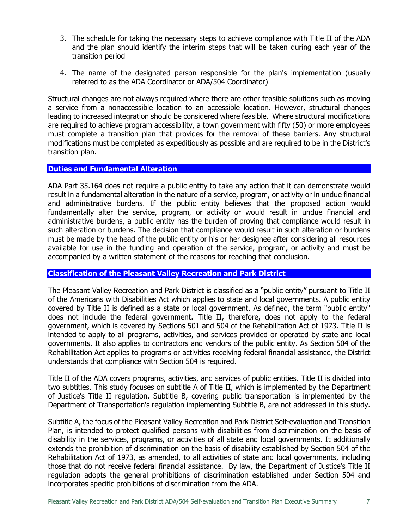- 3. The schedule for taking the necessary steps to achieve compliance with Title II of the ADA and the plan should identify the interim steps that will be taken during each year of the transition period
- 4. The name of the designated person responsible for the plan's implementation (usually referred to as the ADA Coordinator or ADA/504 Coordinator)

Structural changes are not always required where there are other feasible solutions such as moving a service from a nonaccessible location to an accessible location. However, structural changes leading to increased integration should be considered where feasible. Where structural modifications are required to achieve program accessibility, a town government with fifty (50) or more employees must complete a transition plan that provides for the removal of these barriers. Any structural modifications must be completed as expeditiously as possible and are required to be in the District's transition plan.

#### <span id="page-9-0"></span>**Duties and Fundamental Alteration**

ADA Part 35.164 does not require a public entity to take any action that it can demonstrate would result in a fundamental alteration in the nature of a service, program, or activity or in undue financial and administrative burdens. If the public entity believes that the proposed action would fundamentally alter the service, program, or activity or would result in undue financial and administrative burdens, a public entity has the burden of proving that compliance would result in such alteration or burdens. The decision that compliance would result in such alteration or burdens must be made by the head of the public entity or his or her designee after considering all resources available for use in the funding and operation of the service, program, or activity and must be accompanied by a written statement of the reasons for reaching that conclusion.

## <span id="page-9-1"></span>**Classification of the Pleasant Valley Recreation and Park District**

The Pleasant Valley Recreation and Park District is classified as a "public entity" pursuant to Title II of the Americans with Disabilities Act which applies to state and local governments. A public entity covered by Title II is defined as a state or local government. As defined, the term "public entity" does not include the federal government. Title II, therefore, does not apply to the federal government, which is covered by Sections 501 and 504 of the Rehabilitation Act of 1973. Title II is intended to apply to all programs, activities, and services provided or operated by state and local governments. It also applies to contractors and vendors of the public entity. As Section 504 of the Rehabilitation Act applies to programs or activities receiving federal financial assistance, the District understands that compliance with Section 504 is required.

Title II of the ADA covers programs, activities, and services of public entities. Title II is divided into two subtitles. This study focuses on subtitle A of Title II, which is implemented by the Department of Justice's Title II regulation. Subtitle B, covering public transportation is implemented by the Department of Transportation's regulation implementing Subtitle B, are not addressed in this study.

Subtitle A, the focus of the Pleasant Valley Recreation and Park District Self-evaluation and Transition Plan, is intended to protect qualified persons with disabilities from discrimination on the basis of disability in the services, programs, or activities of all state and local governments. It additionally extends the prohibition of discrimination on the basis of disability established by Section 504 of the Rehabilitation Act of 1973, as amended, to all activities of state and local governments, including those that do not receive federal financial assistance. By law, the Department of Justice's Title II regulation adopts the general prohibitions of discrimination established under Section 504 and incorporates specific prohibitions of discrimination from the ADA.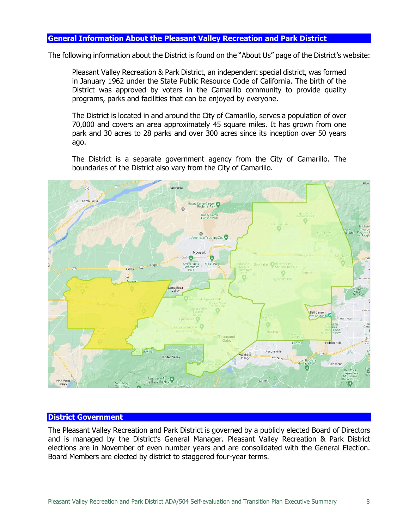### <span id="page-10-0"></span>**General Information About the Pleasant Valley Recreation and Park District**

The following information about the District is found on the "About Us" page of the District's website:

Pleasant Valley Recreation & Park District, an independent special district, was formed in January 1962 under the State Public Resource Code of California. The birth of the District was approved by voters in the Camarillo community to provide quality programs, parks and facilities that can be enjoyed by everyone.

The District is located in and around the City of Camarillo, serves a population of over 70,000 and covers an area approximately 45 square miles. It has grown from one park and 30 acres to 28 parks and over 300 acres since its inception over 50 years ago.

The District is a separate government agency from the City of Camarillo. The boundaries of the District also vary from the City of Camarillo.



#### <span id="page-10-1"></span>**District Government**

The Pleasant Valley Recreation and Park District is governed by a publicly elected Board of Directors and is managed by the District's General Manager. Pleasant Valley Recreation & Park District elections are in November of even number years and are consolidated with the General Election. Board Members are elected by district to staggered four-year terms.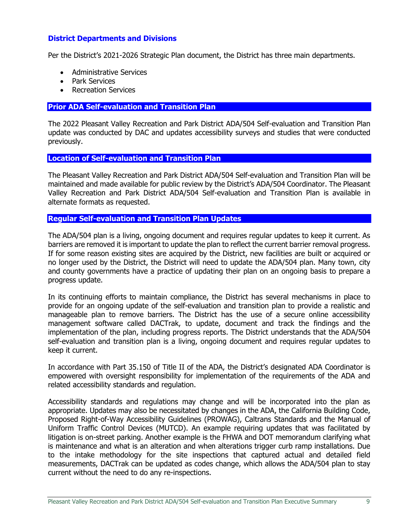## **District Departments and Divisions**

Per the District's 2021-2026 Strategic Plan document, the District has three main departments.

- Administrative Services
- Park Services
- Recreation Services

#### <span id="page-11-0"></span>**Prior ADA Self-evaluation and Transition Plan**

The 2022 Pleasant Valley Recreation and Park District ADA/504 Self-evaluation and Transition Plan update was conducted by DAC and updates accessibility surveys and studies that were conducted previously.

#### <span id="page-11-1"></span>**Location of Self-evaluation and Transition Plan**

The Pleasant Valley Recreation and Park District ADA/504 Self-evaluation and Transition Plan will be maintained and made available for public review by the District's ADA/504 Coordinator. The Pleasant Valley Recreation and Park District ADA/504 Self-evaluation and Transition Plan is available in alternate formats as requested.

#### <span id="page-11-2"></span>**Regular Self-evaluation and Transition Plan Updates**

The ADA/504 plan is a living, ongoing document and requires regular updates to keep it current. As barriers are removed it is important to update the plan to reflect the current barrier removal progress. If for some reason existing sites are acquired by the District, new facilities are built or acquired or no longer used by the District, the District will need to update the ADA/504 plan. Many town, city and county governments have a practice of updating their plan on an ongoing basis to prepare a progress update.

In its continuing efforts to maintain compliance, the District has several mechanisms in place to provide for an ongoing update of the self-evaluation and transition plan to provide a realistic and manageable plan to remove barriers. The District has the use of a secure online accessibility management software called DACTrak, to update, document and track the findings and the implementation of the plan, including progress reports. The District understands that the ADA/504 self-evaluation and transition plan is a living, ongoing document and requires regular updates to keep it current.

In accordance with Part 35.150 of Title II of the ADA, the District's designated ADA Coordinator is empowered with oversight responsibility for implementation of the requirements of the ADA and related accessibility standards and regulation.

Accessibility standards and regulations may change and will be incorporated into the plan as appropriate. Updates may also be necessitated by changes in the ADA, the California Building Code, Proposed Right-of-Way Accessibility Guidelines (PROWAG), Caltrans Standards and the Manual of Uniform Traffic Control Devices (MUTCD). An example requiring updates that was facilitated by litigation is on-street parking. Another example is the FHWA and DOT memorandum clarifying what is maintenance and what is an alteration and when alterations trigger curb ramp installations. Due to the intake methodology for the site inspections that captured actual and detailed field measurements, DACTrak can be updated as codes change, which allows the ADA/504 plan to stay current without the need to do any re-inspections.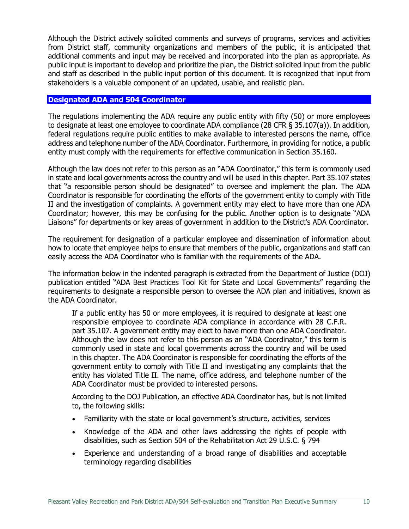Although the District actively solicited comments and surveys of programs, services and activities from District staff, community organizations and members of the public, it is anticipated that additional comments and input may be received and incorporated into the plan as appropriate. As public input is important to develop and prioritize the plan, the District solicited input from the public and staff as described in the public input portion of this document. It is recognized that input from stakeholders is a valuable component of an updated, usable, and realistic plan.

#### <span id="page-12-0"></span>**Designated ADA and 504 Coordinator**

The regulations implementing the ADA require any public entity with fifty (50) or more employees to designate at least one employee to coordinate ADA compliance (28 CFR § 35.107(a)). In addition, federal regulations require public entities to make available to interested persons the name, office address and telephone number of the ADA Coordinator. Furthermore, in providing for notice, a public entity must comply with the requirements for effective communication in Section 35.160.

Although the law does not refer to this person as an "ADA Coordinator," this term is commonly used in state and local governments across the country and will be used in this chapter. Part 35.107 states that "a responsible person should be designated" to oversee and implement the plan. The ADA Coordinator is responsible for coordinating the efforts of the government entity to comply with Title II and the investigation of complaints. A government entity may elect to have more than one ADA Coordinator; however, this may be confusing for the public. Another option is to designate "ADA Liaisons" for departments or key areas of government in addition to the District's ADA Coordinator.

The requirement for designation of a particular employee and dissemination of information about how to locate that employee helps to ensure that members of the public, organizations and staff can easily access the ADA Coordinator who is familiar with the requirements of the ADA.

The information below in the indented paragraph is extracted from the Department of Justice (DOJ) publication entitled "ADA Best Practices Tool Kit for State and Local Governments" regarding the requirements to designate a responsible person to oversee the ADA plan and initiatives, known as the ADA Coordinator.

If a public entity has 50 or more employees, it is required to designate at least one responsible employee to coordinate ADA compliance in accordance with 28 C.F.R. part 35.107. A government entity may elect to have more than one ADA Coordinator. Although the law does not refer to this person as an "ADA Coordinator," this term is commonly used in state and local governments across the country and will be used in this chapter. The ADA Coordinator is responsible for coordinating the efforts of the government entity to comply with Title II and investigating any complaints that the entity has violated Title II. The name, office address, and telephone number of the ADA Coordinator must be provided to interested persons.

According to the DOJ Publication, an effective ADA Coordinator has, but is not limited to, the following skills:

- Familiarity with the state or local government's structure, activities, services
- Knowledge of the ADA and other laws addressing the rights of people with disabilities, such as Section 504 of the Rehabilitation Act 29 U.S.C. § 794
- Experience and understanding of a broad range of disabilities and acceptable terminology regarding disabilities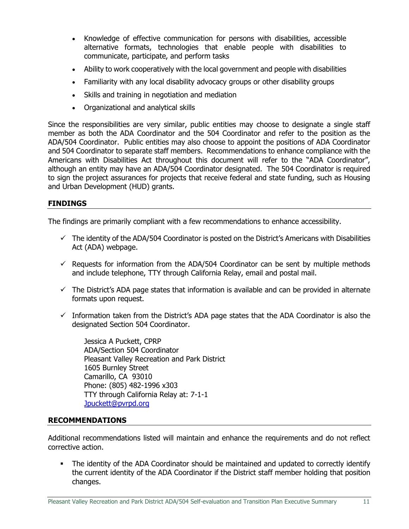- Knowledge of effective communication for persons with disabilities, accessible alternative formats, technologies that enable people with disabilities to communicate, participate, and perform tasks
- Ability to work cooperatively with the local government and people with disabilities
- Familiarity with any local disability advocacy groups or other disability groups
- Skills and training in negotiation and mediation
- Organizational and analytical skills

Since the responsibilities are very similar, public entities may choose to designate a single staff member as both the ADA Coordinator and the 504 Coordinator and refer to the position as the ADA/504 Coordinator. Public entities may also choose to appoint the positions of ADA Coordinator and 504 Coordinator to separate staff members. Recommendations to enhance compliance with the Americans with Disabilities Act throughout this document will refer to the "ADA Coordinator", although an entity may have an ADA/504 Coordinator designated. The 504 Coordinator is required to sign the project assurances for projects that receive federal and state funding, such as Housing and Urban Development (HUD) grants.

## **FINDINGS**

The findings are primarily compliant with a few recommendations to enhance accessibility.

- $\checkmark$  The identity of the ADA/504 Coordinator is posted on the District's Americans with Disabilities Act (ADA) webpage.
- $\checkmark$  Requests for information from the ADA/504 Coordinator can be sent by multiple methods and include telephone, TTY through California Relay, email and postal mail.
- $\checkmark$  The District's ADA page states that information is available and can be provided in alternate formats upon request.
- $\checkmark$  Information taken from the District's ADA page states that the ADA Coordinator is also the designated Section 504 Coordinator.

Jessica A Puckett, CPRP ADA/Section 504 Coordinator Pleasant Valley Recreation and Park District 1605 Burnley Street Camarillo, CA 93010 Phone: (805) 482-1996 x303 TTY through California Relay at: 7-1-1 [Jpuckett@pvrpd.org](mailto:Jpuckett@pvrpd.org)

#### **RECOMMENDATIONS**

Additional recommendations listed will maintain and enhance the requirements and do not reflect corrective action.

• The identity of the ADA Coordinator should be maintained and updated to correctly identify the current identity of the ADA Coordinator if the District staff member holding that position changes.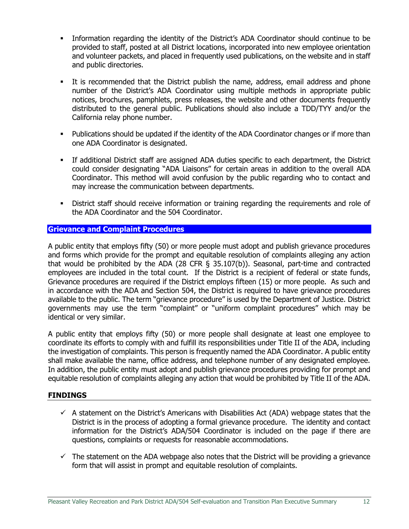- Information regarding the identity of the District's ADA Coordinator should continue to be provided to staff, posted at all District locations, incorporated into new employee orientation and volunteer packets, and placed in frequently used publications, on the website and in staff and public directories.
- It is recommended that the District publish the name, address, email address and phone number of the District's ADA Coordinator using multiple methods in appropriate public notices, brochures, pamphlets, press releases, the website and other documents frequently distributed to the general public. Publications should also include a TDD/TYY and/or the California relay phone number.
- Publications should be updated if the identity of the ADA Coordinator changes or if more than one ADA Coordinator is designated.
- If additional District staff are assigned ADA duties specific to each department, the District could consider designating "ADA Liaisons" for certain areas in addition to the overall ADA Coordinator. This method will avoid confusion by the public regarding who to contact and may increase the communication between departments.
- **•** District staff should receive information or training regarding the requirements and role of the ADA Coordinator and the 504 Coordinator.

## <span id="page-14-0"></span>**Grievance and Complaint Procedures**

A public entity that employs fifty (50) or more people must adopt and publish grievance procedures and forms which provide for the prompt and equitable resolution of complaints alleging any action that would be prohibited by the ADA (28 CFR § 35.107(b)). Seasonal, part-time and contracted employees are included in the total count. If the District is a recipient of federal or state funds, Grievance procedures are required if the District employs fifteen (15) or more people. As such and in accordance with the ADA and Section 504, the District is required to have grievance procedures available to the public. The term "grievance procedure" is used by the Department of Justice. District governments may use the term "complaint" or "uniform complaint procedures" which may be identical or very similar.

A public entity that employs fifty (50) or more people shall designate at least one employee to coordinate its efforts to comply with and fulfill its responsibilities under Title II of the ADA, including the investigation of complaints. This person is frequently named the ADA Coordinator. A public entity shall make available the name, office address, and telephone number of any designated employee. In addition, the public entity must adopt and publish grievance procedures providing for prompt and equitable resolution of complaints alleging any action that would be prohibited by Title II of the ADA.

#### **FINDINGS**

- $\checkmark$  A statement on the District's Americans with Disabilities Act (ADA) webpage states that the District is in the process of adopting a formal grievance procedure. The identity and contact information for the District's ADA/504 Coordinator is included on the page if there are questions, complaints or requests for reasonable accommodations.
- $\checkmark$  The statement on the ADA webpage also notes that the District will be providing a grievance form that will assist in prompt and equitable resolution of complaints.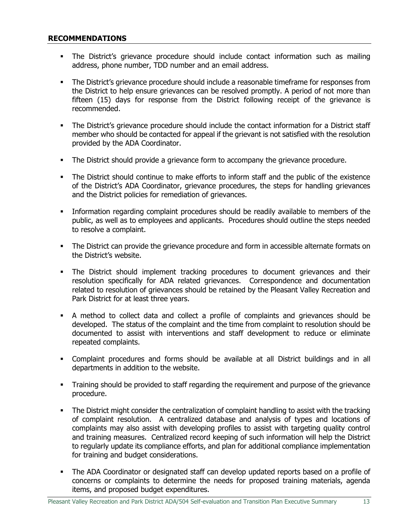### **RECOMMENDATIONS**

- The District's grievance procedure should include contact information such as mailing address, phone number, TDD number and an email address.
- **•** The District's grievance procedure should include a reasonable timeframe for responses from the District to help ensure grievances can be resolved promptly. A period of not more than fifteen (15) days for response from the District following receipt of the grievance is recommended.
- **•** The District's grievance procedure should include the contact information for a District staff member who should be contacted for appeal if the grievant is not satisfied with the resolution provided by the ADA Coordinator.
- The District should provide a grievance form to accompany the grievance procedure.
- The District should continue to make efforts to inform staff and the public of the existence of the District's ADA Coordinator, grievance procedures, the steps for handling grievances and the District policies for remediation of grievances.
- **•** Information regarding complaint procedures should be readily available to members of the public, as well as to employees and applicants. Procedures should outline the steps needed to resolve a complaint.
- **•** The District can provide the grievance procedure and form in accessible alternate formats on the District's website.
- **.** The District should implement tracking procedures to document grievances and their resolution specifically for ADA related grievances. Correspondence and documentation related to resolution of grievances should be retained by the Pleasant Valley Recreation and Park District for at least three years.
- A method to collect data and collect a profile of complaints and grievances should be developed. The status of the complaint and the time from complaint to resolution should be documented to assist with interventions and staff development to reduce or eliminate repeated complaints.
- Complaint procedures and forms should be available at all District buildings and in all departments in addition to the website.
- Training should be provided to staff regarding the requirement and purpose of the grievance procedure.
- **•** The District might consider the centralization of complaint handling to assist with the tracking of complaint resolution. A centralized database and analysis of types and locations of complaints may also assist with developing profiles to assist with targeting quality control and training measures. Centralized record keeping of such information will help the District to regularly update its compliance efforts, and plan for additional compliance implementation for training and budget considerations.
- **•** The ADA Coordinator or designated staff can develop updated reports based on a profile of concerns or complaints to determine the needs for proposed training materials, agenda items, and proposed budget expenditures.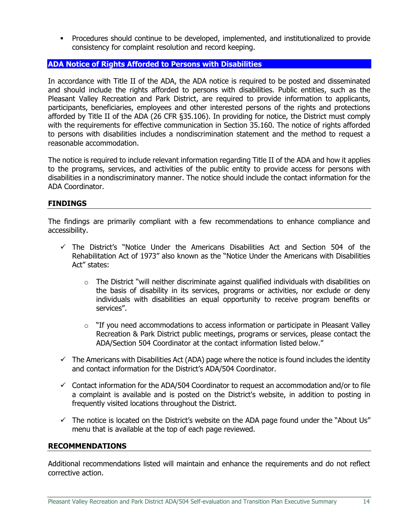▪ Procedures should continue to be developed, implemented, and institutionalized to provide consistency for complaint resolution and record keeping.

## <span id="page-16-0"></span>**ADA Notice of Rights Afforded to Persons with Disabilities**

In accordance with Title II of the ADA, the ADA notice is required to be posted and disseminated and should include the rights afforded to persons with disabilities. Public entities, such as the Pleasant Valley Recreation and Park District, are required to provide information to applicants, participants, beneficiaries, employees and other interested persons of the rights and protections afforded by Title II of the ADA (26 CFR §35.106). In providing for notice, the District must comply with the requirements for effective communication in Section 35.160. The notice of rights afforded to persons with disabilities includes a nondiscrimination statement and the method to request a reasonable accommodation.

The notice is required to include relevant information regarding Title II of the ADA and how it applies to the programs, services, and activities of the public entity to provide access for persons with disabilities in a nondiscriminatory manner. The notice should include the contact information for the ADA Coordinator.

#### **FINDINGS**

The findings are primarily compliant with a few recommendations to enhance compliance and accessibility.

- ✓ The District's "Notice Under the Americans Disabilities Act and Section 504 of the Rehabilitation Act of 1973" also known as the "Notice Under the Americans with Disabilities Act" states:
	- $\circ$  The District "will neither discriminate against qualified individuals with disabilities on the basis of disability in its services, programs or activities, nor exclude or deny individuals with disabilities an equal opportunity to receive program benefits or services".
	- $\circ$  "If you need accommodations to access information or participate in Pleasant Valley Recreation & Park District public meetings, programs or services, please contact the ADA/Section 504 Coordinator at the contact information listed below."
- $\checkmark$  The Americans with Disabilities Act (ADA) page where the notice is found includes the identity and contact information for the District's ADA/504 Coordinator.
- $\checkmark$  Contact information for the ADA/504 Coordinator to request an accommodation and/or to file a complaint is available and is posted on the District's website, in addition to posting in frequently visited locations throughout the District.
- $\checkmark$  The notice is located on the District's website on the ADA page found under the "About Us" menu that is available at the top of each page reviewed.

#### **RECOMMENDATIONS**

Additional recommendations listed will maintain and enhance the requirements and do not reflect corrective action.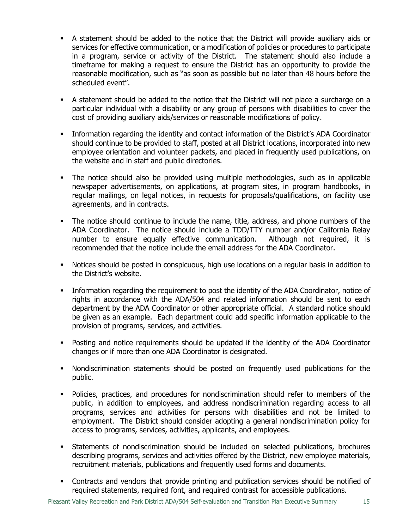- A statement should be added to the notice that the District will provide auxiliary aids or services for effective communication, or a modification of policies or procedures to participate in a program, service or activity of the District. The statement should also include a timeframe for making a request to ensure the District has an opportunity to provide the reasonable modification, such as "as soon as possible but no later than 48 hours before the scheduled event".
- A statement should be added to the notice that the District will not place a surcharge on a particular individual with a disability or any group of persons with disabilities to cover the cost of providing auxiliary aids/services or reasonable modifications of policy.
- **•** Information regarding the identity and contact information of the District's ADA Coordinator should continue to be provided to staff, posted at all District locations, incorporated into new employee orientation and volunteer packets, and placed in frequently used publications, on the website and in staff and public directories.
- The notice should also be provided using multiple methodologies, such as in applicable newspaper advertisements, on applications, at program sites, in program handbooks, in regular mailings, on legal notices, in requests for proposals/qualifications, on facility use agreements, and in contracts.
- The notice should continue to include the name, title, address, and phone numbers of the ADA Coordinator. The notice should include a TDD/TTY number and/or California Relay number to ensure equally effective communication. Although not required, it is recommended that the notice include the email address for the ADA Coordinator.
- Notices should be posted in conspicuous, high use locations on a regular basis in addition to the District's website.
- **•** Information regarding the requirement to post the identity of the ADA Coordinator, notice of rights in accordance with the ADA/504 and related information should be sent to each department by the ADA Coordinator or other appropriate official. A standard notice should be given as an example. Each department could add specific information applicable to the provision of programs, services, and activities.
- Posting and notice requirements should be updated if the identity of the ADA Coordinator changes or if more than one ADA Coordinator is designated.
- Nondiscrimination statements should be posted on frequently used publications for the public.
- Policies, practices, and procedures for nondiscrimination should refer to members of the public, in addition to employees, and address nondiscrimination regarding access to all programs, services and activities for persons with disabilities and not be limited to employment. The District should consider adopting a general nondiscrimination policy for access to programs, services, activities, applicants, and employees.
- Statements of nondiscrimination should be included on selected publications, brochures describing programs, services and activities offered by the District, new employee materials, recruitment materials, publications and frequently used forms and documents.
- Contracts and vendors that provide printing and publication services should be notified of required statements, required font, and required contrast for accessible publications.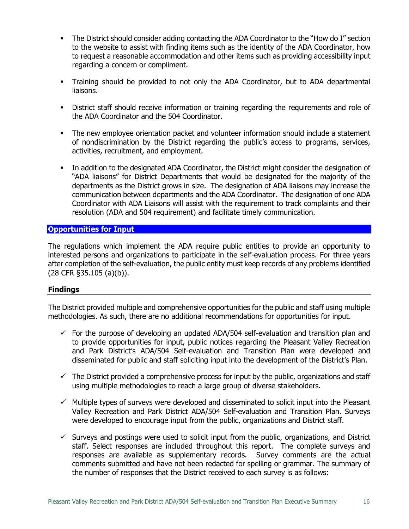- The District should consider adding contacting the ADA Coordinator to the "How do I" section to the website to assist with finding items such as the identity of the ADA Coordinator, how to request a reasonable accommodation and other items such as providing accessibility input regarding a concern or compliment.
- Training should be provided to not only the ADA Coordinator, but to ADA departmental liaisons.
- **•** District staff should receive information or training regarding the requirements and role of the ADA Coordinator and the 504 Coordinator.
- The new employee orientation packet and volunteer information should include a statement of nondiscrimination by the District regarding the public's access to programs, services, activities, recruitment, and employment.
- **•** In addition to the designated ADA Coordinator, the District might consider the designation of "ADA liaisons" for District Departments that would be designated for the majority of the departments as the District grows in size. The designation of ADA liaisons may increase the communication between departments and the ADA Coordinator. The designation of one ADA Coordinator with ADA Liaisons will assist with the requirement to track complaints and their resolution (ADA and 504 requirement) and facilitate timely communication.

## <span id="page-18-0"></span>**Opportunities for Input**

The regulations which implement the ADA require public entities to provide an opportunity to interested persons and organizations to participate in the self-evaluation process. For three years after completion of the self-evaluation, the public entity must keep records of any problems identified (28 CFR §35.105 (a)(b)).

#### **Findings**

The District provided multiple and comprehensive opportunities for the public and staff using multiple methodologies. As such, there are no additional recommendations for opportunities for input.

- $\checkmark$  For the purpose of developing an updated ADA/504 self-evaluation and transition plan and to provide opportunities for input, public notices regarding the Pleasant Valley Recreation and Park District's ADA/504 Self-evaluation and Transition Plan were developed and disseminated for public and staff soliciting input into the development of the District's Plan.
- $\checkmark$  The District provided a comprehensive process for input by the public, organizations and staff using multiple methodologies to reach a large group of diverse stakeholders.
- $\checkmark$  Multiple types of surveys were developed and disseminated to solicit input into the Pleasant Valley Recreation and Park District ADA/504 Self-evaluation and Transition Plan. Surveys were developed to encourage input from the public, organizations and District staff.
- $\checkmark$  Surveys and postings were used to solicit input from the public, organizations, and District staff. Select responses are included throughout this report. The complete surveys and responses are available as supplementary records. Survey comments are the actual comments submitted and have not been redacted for spelling or grammar. The summary of the number of responses that the District received to each survey is as follows: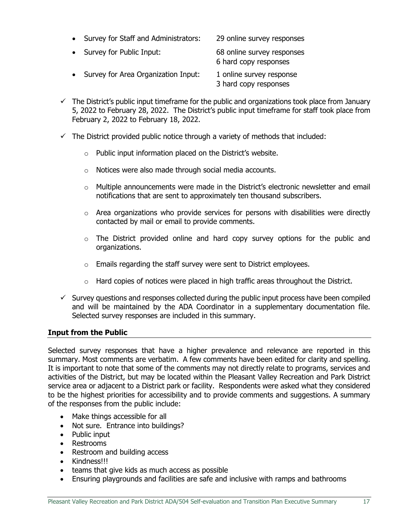| $\bullet$ | Survey for Staff and Administrators: | 29 online survey responses |
|-----------|--------------------------------------|----------------------------|
|           | • Survey for Public Input:           | 68 online survey responses |

- 6 hard copy responses • Survey for Area Organization Input: 1 online survey response 3 hard copy responses
- $\checkmark$  The District's public input timeframe for the public and organizations took place from January 5, 2022 to February 28, 2022. The District's public input timeframe for staff took place from February 2, 2022 to February 18, 2022.
- $\checkmark$  The District provided public notice through a variety of methods that included:
	- $\circ$  Public input information placed on the District's website.
	- o Notices were also made through social media accounts.
	- $\circ$  Multiple announcements were made in the District's electronic newsletter and email notifications that are sent to approximately ten thousand subscribers.
	- $\circ$  Area organizations who provide services for persons with disabilities were directly contacted by mail or email to provide comments.
	- o The District provided online and hard copy survey options for the public and organizations.
	- $\circ$  Emails regarding the staff survey were sent to District employees.
	- $\circ$  Hard copies of notices were placed in high traffic areas throughout the District.
- $\checkmark$  Survey questions and responses collected during the public input process have been compiled and will be maintained by the ADA Coordinator in a supplementary documentation file. Selected survey responses are included in this summary.

## **Input from the Public**

Selected survey responses that have a higher prevalence and relevance are reported in this summary. Most comments are verbatim. A few comments have been edited for clarity and spelling. It is important to note that some of the comments may not directly relate to programs, services and activities of the District, but may be located within the Pleasant Valley Recreation and Park District service area or adjacent to a District park or facility. Respondents were asked what they considered to be the highest priorities for accessibility and to provide comments and suggestions. A summary of the responses from the public include:

- Make things accessible for all
- Not sure. Entrance into buildings?
- Public input
- Restrooms
- Restroom and building access
- Kindness!!!
- teams that give kids as much access as possible
- Ensuring playgrounds and facilities are safe and inclusive with ramps and bathrooms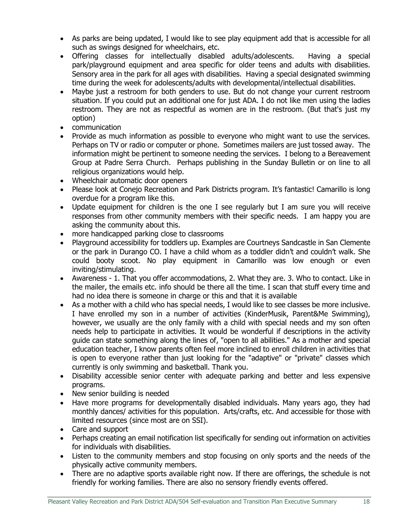- As parks are being updated, I would like to see play equipment add that is accessible for all such as swings designed for wheelchairs, etc.
- Offering classes for intellectually disabled adults/adolescents. Having a special park/playground equipment and area specific for older teens and adults with disabilities. Sensory area in the park for all ages with disabilities. Having a special designated swimming time during the week for adolescents/adults with developmental/intellectual disabilities.
- Maybe just a restroom for both genders to use. But do not change your current restroom situation. If you could put an additional one for just ADA. I do not like men using the ladies restroom. They are not as respectful as women are in the restroom. (But that's just my option)
- communication
- Provide as much information as possible to everyone who might want to use the services. Perhaps on TV or radio or computer or phone. Sometimes mailers are just tossed away. The information might be pertinent to someone needing the services. I belong to a Bereavement Group at Padre Serra Church. Perhaps publishing in the Sunday Bulletin or on line to all religious organizations would help.
- Wheelchair automatic door openers
- Please look at Conejo Recreation and Park Districts program. It's fantastic! Camarillo is long overdue for a program like this.
- Update equipment for children is the one I see regularly but I am sure you will receive responses from other community members with their specific needs. I am happy you are asking the community about this.
- more handicapped parking close to classrooms
- Playground accessibility for toddlers up. Examples are Courtneys Sandcastle in San Clemente or the park in Durango CO. I have a child whom as a toddler didn't and couldn't walk. She could booty scoot. No play equipment in Camarillo was low enough or even inviting/stimulating.
- Awareness 1. That you offer accommodations, 2. What they are. 3. Who to contact. Like in the mailer, the emails etc. info should be there all the time. I scan that stuff every time and had no idea there is someone in charge or this and that it is available
- As a mother with a child who has special needs, I would like to see classes be more inclusive. I have enrolled my son in a number of activities (KinderMusik, Parent&Me Swimming), however, we usually are the only family with a child with special needs and my son often needs help to participate in activities. It would be wonderful if descriptions in the activity guide can state something along the lines of, "open to all abilities." As a mother and special education teacher, I know parents often feel more inclined to enroll children in activities that is open to everyone rather than just looking for the "adaptive" or "private" classes which currently is only swimming and basketball. Thank you.
- Disability accessible senior center with adequate parking and better and less expensive programs.
- New senior building is needed
- Have more programs for developmentally disabled individuals. Many years ago, they had monthly dances/ activities for this population. Arts/crafts, etc. And accessible for those with limited resources (since most are on SSI).
- Care and support
- Perhaps creating an email notification list specifically for sending out information on activities for individuals with disabilities.
- Listen to the community members and stop focusing on only sports and the needs of the physically active community members.
- There are no adaptive sports available right now. If there are offerings, the schedule is not friendly for working families. There are also no sensory friendly events offered.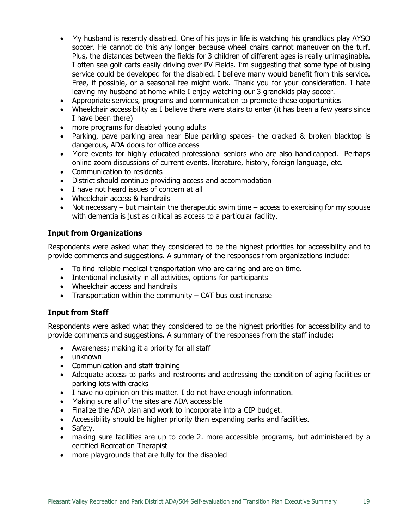- My husband is recently disabled. One of his joys in life is watching his grandkids play AYSO soccer. He cannot do this any longer because wheel chairs cannot maneuver on the turf. Plus, the distances between the fields for 3 children of different ages is really unimaginable. I often see golf carts easily driving over PV Fields. I'm suggesting that some type of busing service could be developed for the disabled. I believe many would benefit from this service. Free, if possible, or a seasonal fee might work. Thank you for your consideration. I hate leaving my husband at home while I enjoy watching our 3 grandkids play soccer.
- Appropriate services, programs and communication to promote these opportunities
- Wheelchair accessibility as I believe there were stairs to enter (it has been a few years since I have been there)
- more programs for disabled young adults
- Parking, pave parking area near Blue parking spaces- the cracked & broken blacktop is dangerous, ADA doors for office access
- More events for highly educated professional seniors who are also handicapped. Perhaps online zoom discussions of current events, literature, history, foreign language, etc.
- Communication to residents
- District should continue providing access and accommodation
- I have not heard issues of concern at all
- Wheelchair access & handrails
- Not necessary but maintain the therapeutic swim time access to exercising for my spouse with dementia is just as critical as access to a particular facility.

## **Input from Organizations**

Respondents were asked what they considered to be the highest priorities for accessibility and to provide comments and suggestions. A summary of the responses from organizations include:

- To find reliable medical transportation who are caring and are on time.
- Intentional inclusivity in all activities, options for participants
- Wheelchair access and handrails
- Transportation within the community CAT bus cost increase

## **Input from Staff**

Respondents were asked what they considered to be the highest priorities for accessibility and to provide comments and suggestions. A summary of the responses from the staff include:

- Awareness; making it a priority for all staff
- unknown
- Communication and staff training
- Adequate access to parks and restrooms and addressing the condition of aging facilities or parking lots with cracks
- I have no opinion on this matter. I do not have enough information.
- Making sure all of the sites are ADA accessible
- Finalize the ADA plan and work to incorporate into a CIP budget.
- Accessibility should be higher priority than expanding parks and facilities.
- Safety.
- making sure facilities are up to code 2. more accessible programs, but administered by a certified Recreation Therapist
- more playgrounds that are fully for the disabled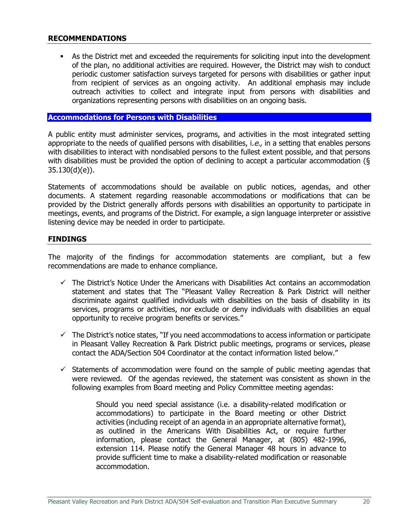## **RECOMMENDATIONS**

As the District met and exceeded the requirements for soliciting input into the development of the plan, no additional activities are required. However, the District may wish to conduct periodic customer satisfaction surveys targeted for persons with disabilities or gather input from recipient of services as an ongoing activity. An additional emphasis may include outreach activities to collect and integrate input from persons with disabilities and organizations representing persons with disabilities on an ongoing basis.

#### <span id="page-22-0"></span>**Accommodations for Persons with Disabilities**

A public entity must administer services, programs, and activities in the most integrated setting appropriate to the needs of qualified persons with disabilities, i.e., in a setting that enables persons with disabilities to interact with nondisabled persons to the fullest extent possible, and that persons with disabilities must be provided the option of declining to accept a particular accommodation (§ 35.130(d)(e)).

Statements of accommodations should be available on public notices, agendas, and other documents. A statement regarding reasonable accommodations or modifications that can be provided by the District generally affords persons with disabilities an opportunity to participate in meetings, events, and programs of the District. For example, a sign language interpreter or assistive listening device may be needed in order to participate.

#### **FINDINGS**

The majority of the findings for accommodation statements are compliant, but a few recommendations are made to enhance compliance.

- $\checkmark$  The District's Notice Under the Americans with Disabilities Act contains an accommodation statement and states that The "Pleasant Valley Recreation & Park District will neither discriminate against qualified individuals with disabilities on the basis of disability in its services, programs or activities, nor exclude or deny individuals with disabilities an equal opportunity to receive program benefits or services."
- $\checkmark$  The District's notice states, "If you need accommodations to access information or participate in Pleasant Valley Recreation & Park District public meetings, programs or services, please contact the ADA/Section 504 Coordinator at the contact information listed below."
- $\checkmark$  Statements of accommodation were found on the sample of public meeting agendas that were reviewed. Of the agendas reviewed, the statement was consistent as shown in the following examples from Board meeting and Policy Committee meeting agendas:

Should you need special assistance (i.e. a disability-related modification or accommodations) to participate in the Board meeting or other District activities (including receipt of an agenda in an appropriate alternative format), as outlined in the Americans With Disabilities Act, or require further information, please contact the General Manager, at (805) 482-1996, extension 114. Please notify the General Manager 48 hours in advance to provide sufficient time to make a disability-related modification or reasonable accommodation.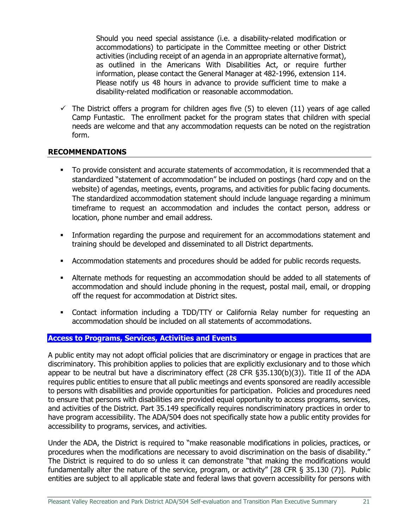Should you need special assistance (i.e. a disability-related modification or accommodations) to participate in the Committee meeting or other District activities (including receipt of an agenda in an appropriate alternative format), as outlined in the Americans With Disabilities Act, or require further information, please contact the General Manager at 482-1996, extension 114. Please notify us 48 hours in advance to provide sufficient time to make a disability-related modification or reasonable accommodation.

 $\checkmark$  The District offers a program for children ages five (5) to eleven (11) years of age called Camp Funtastic. The enrollment packet for the program states that children with special needs are welcome and that any accommodation requests can be noted on the registration form.

## **RECOMMENDATIONS**

- To provide consistent and accurate statements of accommodation, it is recommended that a standardized "statement of accommodation" be included on postings (hard copy and on the website) of agendas, meetings, events, programs, and activities for public facing documents. The standardized accommodation statement should include language regarding a minimum timeframe to request an accommodation and includes the contact person, address or location, phone number and email address.
- **•** Information regarding the purpose and requirement for an accommodations statement and training should be developed and disseminated to all District departments.
- **■** Accommodation statements and procedures should be added for public records requests.
- **EXECT** Alternate methods for requesting an accommodation should be added to all statements of accommodation and should include phoning in the request, postal mail, email, or dropping off the request for accommodation at District sites.
- **•** Contact information including a TDD/TTY or California Relay number for requesting an accommodation should be included on all statements of accommodations.

## <span id="page-23-0"></span>**Access to Programs, Services, Activities and Events**

A public entity may not adopt official policies that are discriminatory or engage in practices that are discriminatory. This prohibition applies to policies that are explicitly exclusionary and to those which appear to be neutral but have a discriminatory effect (28 CFR §35.130(b)(3)). Title II of the ADA requires public entities to ensure that all public meetings and events sponsored are readily accessible to persons with disabilities and provide opportunities for participation. Policies and procedures need to ensure that persons with disabilities are provided equal opportunity to access programs, services, and activities of the District. Part 35.149 specifically requires nondiscriminatory practices in order to have program accessibility. The ADA/504 does not specifically state how a public entity provides for accessibility to programs, services, and activities.

Under the ADA, the District is required to "make reasonable modifications in policies, practices, or procedures when the modifications are necessary to avoid discrimination on the basis of disability." The District is required to do so unless it can demonstrate "that making the modifications would fundamentally alter the nature of the service, program, or activity" [28 CFR § 35.130 (7)]. Public entities are subject to all applicable state and federal laws that govern accessibility for persons with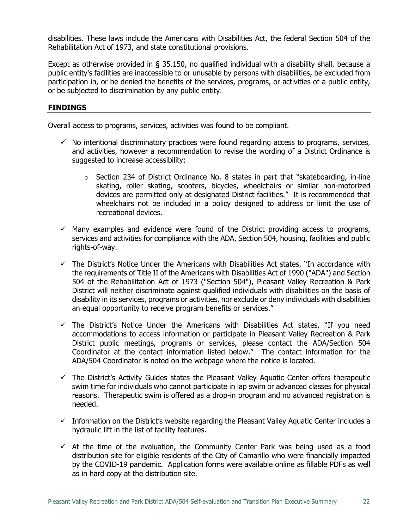disabilities. These laws include the Americans with Disabilities Act, the federal Section 504 of the Rehabilitation Act of 1973, and state constitutional provisions.

Except as otherwise provided in § 35.150, no qualified individual with a disability shall, because a public entity's facilities are inaccessible to or unusable by persons with disabilities, be excluded from participation in, or be denied the benefits of the services, programs, or activities of a public entity, or be subjected to discrimination by any public entity.

## **FINDINGS**

Overall access to programs, services, activities was found to be compliant.

- $\checkmark$  No intentional discriminatory practices were found regarding access to programs, services, and activities, however a recommendation to revise the wording of a District Ordinance is suggested to increase accessibility:
	- o Section 234 of District Ordinance No. 8 states in part that "skateboarding, in-line skating, roller skating, scooters, bicycles, wheelchairs or similar non-motorized devices are permitted only at designated District facilities." It is recommended that wheelchairs not be included in a policy designed to address or limit the use of recreational devices.
- $\checkmark$  Many examples and evidence were found of the District providing access to programs, services and activities for compliance with the ADA, Section 504, housing, facilities and public rights-of-way.
- $\checkmark$  The District's Notice Under the Americans with Disabilities Act states, "In accordance with the requirements of Title II of the Americans with Disabilities Act of 1990 ("ADA") and Section 504 of the Rehabilitation Act of 1973 ("Section 504"), Pleasant Valley Recreation & Park District will neither discriminate against qualified individuals with disabilities on the basis of disability in its services, programs or activities, nor exclude or deny individuals with disabilities an equal opportunity to receive program benefits or services."
- $\checkmark$  The District's Notice Under the Americans with Disabilities Act states, "If you need accommodations to access information or participate in Pleasant Valley Recreation & Park District public meetings, programs or services, please contact the ADA/Section 504 Coordinator at the contact information listed below." The contact information for the ADA/504 Coordinator is noted on the webpage where the notice is located.
- $\checkmark$  The District's Activity Guides states the Pleasant Valley Aquatic Center offers therapeutic swim time for individuals who cannot participate in lap swim or advanced classes for physical reasons. Therapeutic swim is offered as a drop-in program and no advanced registration is needed.
- $\checkmark$  Information on the District's website regarding the Pleasant Valley Aquatic Center includes a hydraulic lift in the list of facility features.
- $\checkmark$  At the time of the evaluation, the Community Center Park was being used as a food distribution site for eligible residents of the City of Camarillo who were financially impacted by the COVID-19 pandemic. Application forms were available online as fillable PDFs as well as in hard copy at the distribution site.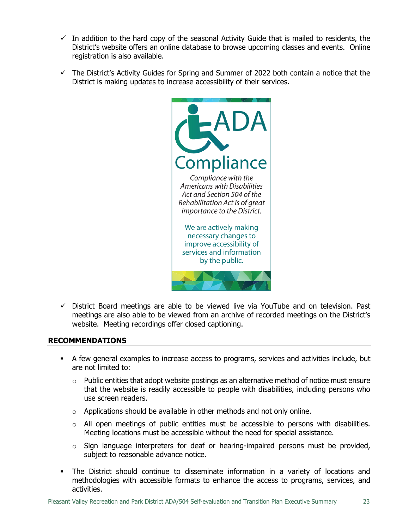- $\checkmark$  In addition to the hard copy of the seasonal Activity Guide that is mailed to residents, the District's website offers an online database to browse upcoming classes and events. Online registration is also available.
- $\checkmark$  The District's Activity Guides for Spring and Summer of 2022 both contain a notice that the District is making updates to increase accessibility of their services.



 $\checkmark$  District Board meetings are able to be viewed live via YouTube and on television. Past meetings are also able to be viewed from an archive of recorded meetings on the District's website. Meeting recordings offer closed captioning.

## **RECOMMENDATIONS**

- A few general examples to increase access to programs, services and activities include, but are not limited to:
	- $\circ$  Public entities that adopt website postings as an alternative method of notice must ensure that the website is readily accessible to people with disabilities, including persons who use screen readers.
	- $\circ$  Applications should be available in other methods and not only online.
	- $\circ$  All open meetings of public entities must be accessible to persons with disabilities. Meeting locations must be accessible without the need for special assistance.
	- $\circ$  Sign language interpreters for deaf or hearing-impaired persons must be provided, subject to reasonable advance notice.
- The District should continue to disseminate information in a variety of locations and methodologies with accessible formats to enhance the access to programs, services, and activities.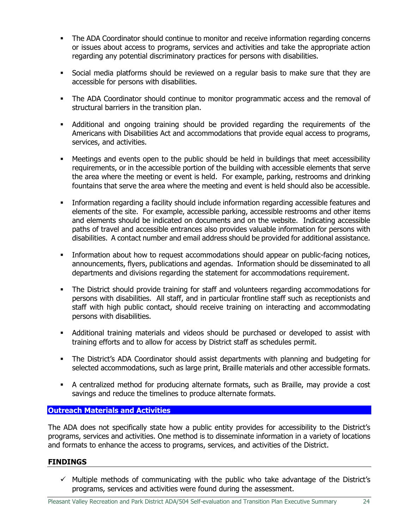- The ADA Coordinator should continue to monitor and receive information regarding concerns or issues about access to programs, services and activities and take the appropriate action regarding any potential discriminatory practices for persons with disabilities.
- Social media platforms should be reviewed on a regular basis to make sure that they are accessible for persons with disabilities.
- **•** The ADA Coordinator should continue to monitor programmatic access and the removal of structural barriers in the transition plan.
- Additional and ongoing training should be provided regarding the requirements of the Americans with Disabilities Act and accommodations that provide equal access to programs, services, and activities.
- Meetings and events open to the public should be held in buildings that meet accessibility requirements, or in the accessible portion of the building with accessible elements that serve the area where the meeting or event is held. For example, parking, restrooms and drinking fountains that serve the area where the meeting and event is held should also be accessible.
- Information regarding a facility should include information regarding accessible features and elements of the site. For example, accessible parking, accessible restrooms and other items and elements should be indicated on documents and on the website. Indicating accessible paths of travel and accessible entrances also provides valuable information for persons with disabilities. A contact number and email address should be provided for additional assistance.
- **•** Information about how to request accommodations should appear on public-facing notices, announcements, flyers, publications and agendas. Information should be disseminated to all departments and divisions regarding the statement for accommodations requirement.
- The District should provide training for staff and volunteers regarding accommodations for persons with disabilities. All staff, and in particular frontline staff such as receptionists and staff with high public contact, should receive training on interacting and accommodating persons with disabilities.
- **•** Additional training materials and videos should be purchased or developed to assist with training efforts and to allow for access by District staff as schedules permit.
- The District's ADA Coordinator should assist departments with planning and budgeting for selected accommodations, such as large print, Braille materials and other accessible formats.
- **EXEDER** A centralized method for producing alternate formats, such as Braille, may provide a cost savings and reduce the timelines to produce alternate formats.

## <span id="page-26-0"></span>**Outreach Materials and Activities**

The ADA does not specifically state how a public entity provides for accessibility to the District's programs, services and activities. One method is to disseminate information in a variety of locations and formats to enhance the access to programs, services, and activities of the District.

## **FINDINGS**

 $\checkmark$  Multiple methods of communicating with the public who take advantage of the District's programs, services and activities were found during the assessment.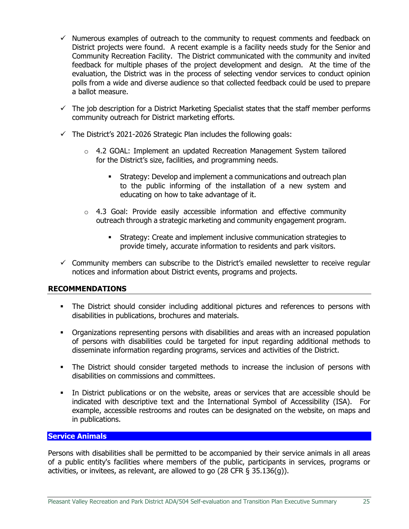- $\checkmark$  Numerous examples of outreach to the community to request comments and feedback on District projects were found. A recent example is a facility needs study for the Senior and Community Recreation Facility. The District communicated with the community and invited feedback for multiple phases of the project development and design. At the time of the evaluation, the District was in the process of selecting vendor services to conduct opinion polls from a wide and diverse audience so that collected feedback could be used to prepare a ballot measure.
- $\checkmark$  The job description for a District Marketing Specialist states that the staff member performs community outreach for District marketing efforts.
- $\checkmark$  The District's 2021-2026 Strategic Plan includes the following goals:
	- $\circ$  4.2 GOAL: Implement an updated Recreation Management System tailored for the District's size, facilities, and programming needs.
		- **EXECT:** Strategy: Develop and implement a communications and outreach plan to the public informing of the installation of a new system and educating on how to take advantage of it.
	- $\circ$  4.3 Goal: Provide easily accessible information and effective community outreach through a strategic marketing and community engagement program.
		- Strategy: Create and implement inclusive communication strategies to provide timely, accurate information to residents and park visitors.
- $\checkmark$  Community members can subscribe to the District's emailed newsletter to receive regular notices and information about District events, programs and projects.

## **RECOMMENDATIONS**

- **•** The District should consider including additional pictures and references to persons with disabilities in publications, brochures and materials.
- Organizations representing persons with disabilities and areas with an increased population of persons with disabilities could be targeted for input regarding additional methods to disseminate information regarding programs, services and activities of the District.
- **•** The District should consider targeted methods to increase the inclusion of persons with disabilities on commissions and committees.
- In District publications or on the website, areas or services that are accessible should be indicated with descriptive text and the International Symbol of Accessibility (ISA). For example, accessible restrooms and routes can be designated on the website, on maps and in publications.

## <span id="page-27-0"></span>**Service Animals**

Persons with disabilities shall be permitted to be accompanied by their service animals in all areas of a public entity's facilities where members of the public, participants in services, programs or activities, or invitees, as relevant, are allowed to go (28 CFR § 35.136(g)).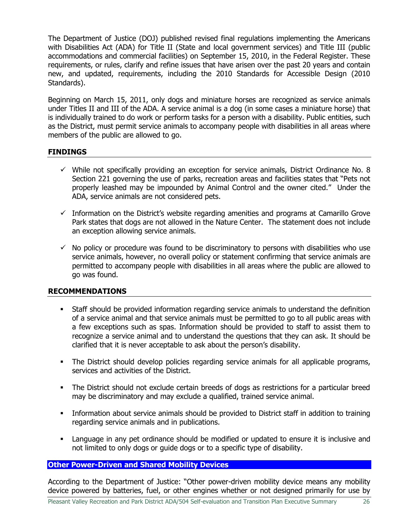The Department of Justice (DOJ) published revised final regulations implementing the Americans with Disabilities Act (ADA) for Title II (State and local government services) and Title III (public accommodations and commercial facilities) on September 15, 2010, in the Federal Register. These requirements, or rules, clarify and refine issues that have arisen over the past 20 years and contain new, and updated, requirements, including the 2010 Standards for Accessible Design (2010 Standards).

Beginning on March 15, 2011, only dogs and miniature horses are recognized as service animals under Titles II and III of the ADA. A service animal is a dog (in some cases a miniature horse) that is individually trained to do work or perform tasks for a person with a disability. Public entities, such as the District, must permit service animals to accompany people with disabilities in all areas where members of the public are allowed to go.

## **FINDINGS**

- $\checkmark$  While not specifically providing an exception for service animals, District Ordinance No. 8 Section 221 governing the use of parks, recreation areas and facilities states that "Pets not properly leashed may be impounded by Animal Control and the owner cited." Under the ADA, service animals are not considered pets.
- $\checkmark$  Information on the District's website regarding amenities and programs at Camarillo Grove Park states that dogs are not allowed in the Nature Center. The statement does not include an exception allowing service animals.
- $\checkmark$  No policy or procedure was found to be discriminatory to persons with disabilities who use service animals, however, no overall policy or statement confirming that service animals are permitted to accompany people with disabilities in all areas where the public are allowed to go was found.

#### **RECOMMENDATIONS**

- Staff should be provided information regarding service animals to understand the definition of a service animal and that service animals must be permitted to go to all public areas with a few exceptions such as spas. Information should be provided to staff to assist them to recognize a service animal and to understand the questions that they can ask. It should be clarified that it is never acceptable to ask about the person's disability.
- The District should develop policies regarding service animals for all applicable programs, services and activities of the District.
- **•** The District should not exclude certain breeds of dogs as restrictions for a particular breed may be discriminatory and may exclude a qualified, trained service animal.
- **•** Information about service animals should be provided to District staff in addition to training regarding service animals and in publications.
- **EX** Language in any pet ordinance should be modified or updated to ensure it is inclusive and not limited to only dogs or guide dogs or to a specific type of disability.

#### <span id="page-28-0"></span>**Other Power-Driven and Shared Mobility Devices**

According to the Department of Justice: "Other power-driven mobility device means any mobility device powered by batteries, fuel, or other engines whether or not designed primarily for use by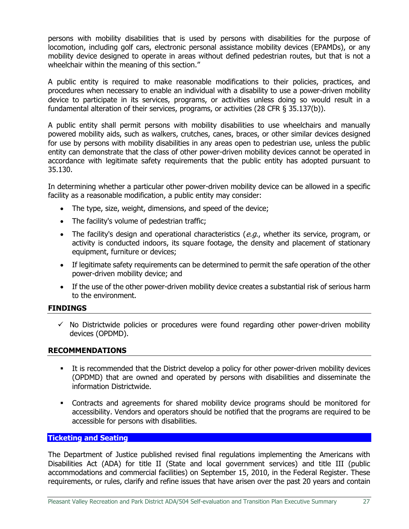persons with mobility disabilities that is used by persons with disabilities for the purpose of locomotion, including golf cars, electronic personal assistance mobility devices (EPAMDs), or any mobility device designed to operate in areas without defined pedestrian routes, but that is not a wheelchair within the meaning of this section."

A public entity is required to make reasonable modifications to their policies, practices, and procedures when necessary to enable an individual with a disability to use a power-driven mobility device to participate in its services, programs, or activities unless doing so would result in a fundamental alteration of their services, programs, or activities (28 CFR § 35.137(b)).

A public entity shall permit persons with mobility disabilities to use wheelchairs and manually powered mobility aids, such as walkers, crutches, canes, braces, or other similar devices designed for use by persons with mobility disabilities in any areas open to pedestrian use, unless the public entity can demonstrate that the class of other power-driven mobility devices cannot be operated in accordance with legitimate safety requirements that the public entity has adopted pursuant to 35.130.

In determining whether a particular other power-driven mobility device can be allowed in a specific facility as a reasonable modification, a public entity may consider:

- The type, size, weight, dimensions, and speed of the device;
- The facility's volume of pedestrian traffic;
- The facility's design and operational characteristics ( $e.g.,$  whether its service, program, or activity is conducted indoors, its square footage, the density and placement of stationary equipment, furniture or devices;
- If legitimate safety requirements can be determined to permit the safe operation of the other power-driven mobility device; and
- If the use of the other power-driven mobility device creates a substantial risk of serious harm to the environment.

## **FINDINGS**

 $\checkmark$  No Districtwide policies or procedures were found regarding other power-driven mobility devices (OPDMD).

#### **RECOMMENDATIONS**

- **•** It is recommended that the District develop a policy for other power-driven mobility devices (OPDMD) that are owned and operated by persons with disabilities and disseminate the information Districtwide.
- Contracts and agreements for shared mobility device programs should be monitored for accessibility. Vendors and operators should be notified that the programs are required to be accessible for persons with disabilities.

#### <span id="page-29-0"></span>**Ticketing and Seating**

The Department of Justice published revised final regulations implementing the Americans with Disabilities Act (ADA) for title II (State and local government services) and title III (public accommodations and commercial facilities) on September 15, 2010, in the Federal Register. These requirements, or rules, clarify and refine issues that have arisen over the past 20 years and contain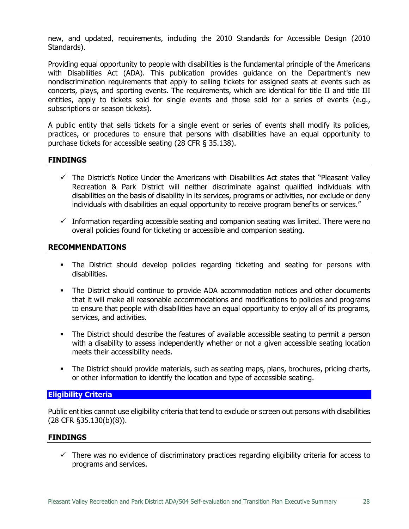new, and updated, requirements, including the 2010 Standards for Accessible Design (2010 Standards).

Providing equal opportunity to people with disabilities is the fundamental principle of the Americans with Disabilities Act (ADA). This publication provides guidance on the Department's new nondiscrimination requirements that apply to selling tickets for assigned seats at events such as concerts, plays, and sporting events. The requirements, which are identical for title II and title III entities, apply to tickets sold for single events and those sold for a series of events (e.g., subscriptions or season tickets).

A public entity that sells tickets for a single event or series of events shall modify its policies, practices, or procedures to ensure that persons with disabilities have an equal opportunity to purchase tickets for accessible seating (28 CFR § 35.138).

#### **FINDINGS**

- $\checkmark$  The District's Notice Under the Americans with Disabilities Act states that "Pleasant Valley Recreation & Park District will neither discriminate against qualified individuals with disabilities on the basis of disability in its services, programs or activities, nor exclude or deny individuals with disabilities an equal opportunity to receive program benefits or services."
- $\checkmark$  Information regarding accessible seating and companion seating was limited. There were no overall policies found for ticketing or accessible and companion seating.

#### **RECOMMENDATIONS**

- The District should develop policies regarding ticketing and seating for persons with disabilities.
- **•** The District should continue to provide ADA accommodation notices and other documents that it will make all reasonable accommodations and modifications to policies and programs to ensure that people with disabilities have an equal opportunity to enjoy all of its programs, services, and activities.
- **•** The District should describe the features of available accessible seating to permit a person with a disability to assess independently whether or not a given accessible seating location meets their accessibility needs.
- The District should provide materials, such as seating maps, plans, brochures, pricing charts, or other information to identify the location and type of accessible seating.

## <span id="page-30-0"></span>**Eligibility Criteria**

Public entities cannot use eligibility criteria that tend to exclude or screen out persons with disabilities (28 CFR §35.130(b)(8)).

#### **FINDINGS**

 $\checkmark$  There was no evidence of discriminatory practices regarding eligibility criteria for access to programs and services.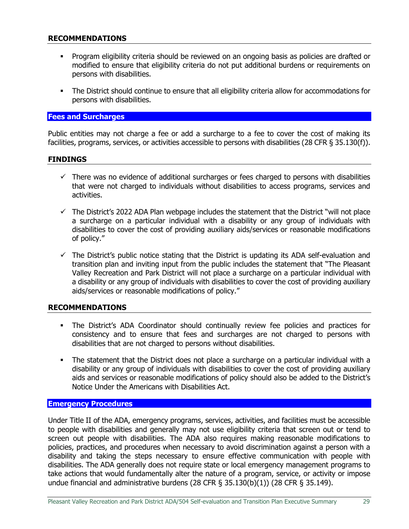## **RECOMMENDATIONS**

- Program eligibility criteria should be reviewed on an ongoing basis as policies are drafted or modified to ensure that eligibility criteria do not put additional burdens or requirements on persons with disabilities.
- **•** The District should continue to ensure that all eligibility criteria allow for accommodations for persons with disabilities.

#### <span id="page-31-0"></span>**Fees and Surcharges**

Public entities may not charge a fee or add a surcharge to a fee to cover the cost of making its facilities, programs, services, or activities accessible to persons with disabilities (28 CFR § 35.130(f)).

#### **FINDINGS**

- $\checkmark$  There was no evidence of additional surcharges or fees charged to persons with disabilities that were not charged to individuals without disabilities to access programs, services and activities.
- $\checkmark$  The District's 2022 ADA Plan webpage includes the statement that the District "will not place a surcharge on a particular individual with a disability or any group of individuals with disabilities to cover the cost of providing auxiliary aids/services or reasonable modifications of policy."
- $\checkmark$  The District's public notice stating that the District is updating its ADA self-evaluation and transition plan and inviting input from the public includes the statement that "The Pleasant Valley Recreation and Park District will not place a surcharge on a particular individual with a disability or any group of individuals with disabilities to cover the cost of providing auxiliary aids/services or reasonable modifications of policy."

#### **RECOMMENDATIONS**

- The District's ADA Coordinator should continually review fee policies and practices for consistency and to ensure that fees and surcharges are not charged to persons with disabilities that are not charged to persons without disabilities.
- **•** The statement that the District does not place a surcharge on a particular individual with a disability or any group of individuals with disabilities to cover the cost of providing auxiliary aids and services or reasonable modifications of policy should also be added to the District's Notice Under the Americans with Disabilities Act.

#### <span id="page-31-1"></span>**Emergency Procedures**

Under Title II of the ADA, emergency programs, services, activities, and facilities must be accessible to people with disabilities and generally may not use eligibility criteria that screen out or tend to screen out people with disabilities. The ADA also requires making reasonable modifications to policies, practices, and procedures when necessary to avoid discrimination against a person with a disability and taking the steps necessary to ensure effective communication with people with disabilities. The ADA generally does not require state or local emergency management programs to take actions that would fundamentally alter the nature of a program, service, or activity or impose undue financial and administrative burdens (28 CFR  $\S$  35.130(b)(1)) (28 CFR  $\S$  35.149).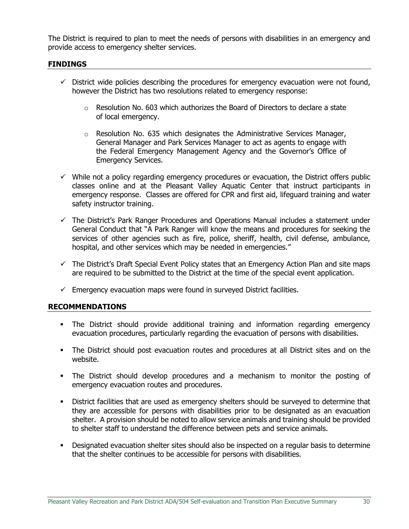The District is required to plan to meet the needs of persons with disabilities in an emergency and provide access to emergency shelter services.

### **FINDINGS**

- $\checkmark$  District wide policies describing the procedures for emergency evacuation were not found, however the District has two resolutions related to emergency response:
	- $\circ$  Resolution No. 603 which authorizes the Board of Directors to declare a state of local emergency.
	- $\circ$  Resolution No. 635 which designates the Administrative Services Manager, General Manager and Park Services Manager to act as agents to engage with the Federal Emergency Management Agency and the Governor's Office of Emergency Services.
- $\checkmark$  While not a policy regarding emergency procedures or evacuation, the District offers public classes online and at the Pleasant Valley Aquatic Center that instruct participants in emergency response. Classes are offered for CPR and first aid, lifeguard training and water safety instructor training.
- $\checkmark$  The District's Park Ranger Procedures and Operations Manual includes a statement under General Conduct that "A Park Ranger will know the means and procedures for seeking the services of other agencies such as fire, police, sheriff, health, civil defense, ambulance, hospital, and other services which may be needed in emergencies."
- $\checkmark$  The District's Draft Special Event Policy states that an Emergency Action Plan and site maps are required to be submitted to the District at the time of the special event application.
- $\checkmark$  Emergency evacuation maps were found in surveyed District facilities.

#### **RECOMMENDATIONS**

- The District should provide additional training and information regarding emergency evacuation procedures, particularly regarding the evacuation of persons with disabilities.
- **•** The District should post evacuation routes and procedures at all District sites and on the website.
- The District should develop procedures and a mechanism to monitor the posting of emergency evacuation routes and procedures.
- **•** District facilities that are used as emergency shelters should be surveyed to determine that they are accessible for persons with disabilities prior to be designated as an evacuation shelter. A provision should be noted to allow service animals and training should be provided to shelter staff to understand the difference between pets and service animals.
- **•** Designated evacuation shelter sites should also be inspected on a regular basis to determine that the shelter continues to be accessible for persons with disabilities.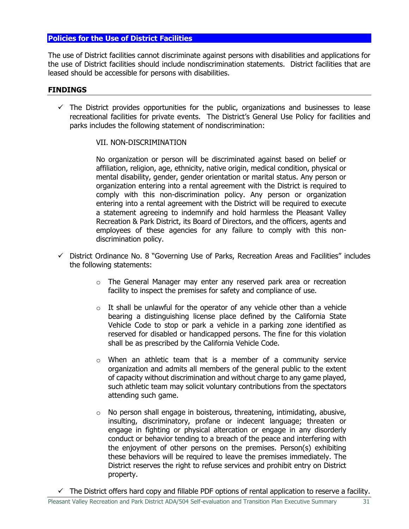## <span id="page-33-0"></span>**Policies for the Use of District Facilities**

The use of District facilities cannot discriminate against persons with disabilities and applications for the use of District facilities should include nondiscrimination statements. District facilities that are leased should be accessible for persons with disabilities.

#### **FINDINGS**

 $\checkmark$  The District provides opportunities for the public, organizations and businesses to lease recreational facilities for private events. The District's General Use Policy for facilities and parks includes the following statement of nondiscrimination:

#### VII. NON-DISCRIMINATION

No organization or person will be discriminated against based on belief or affiliation, religion, age, ethnicity, native origin, medical condition, physical or mental disability, gender, gender orientation or marital status. Any person or organization entering into a rental agreement with the District is required to comply with this non-discrimination policy. Any person or organization entering into a rental agreement with the District will be required to execute a statement agreeing to indemnify and hold harmless the Pleasant Valley Recreation & Park District, its Board of Directors, and the officers, agents and employees of these agencies for any failure to comply with this nondiscrimination policy.

- $\checkmark$  District Ordinance No. 8 "Governing Use of Parks, Recreation Areas and Facilities" includes the following statements:
	- $\circ$  The General Manager may enter any reserved park area or recreation facility to inspect the premises for safety and compliance of use.
	- $\circ$  It shall be unlawful for the operator of any vehicle other than a vehicle bearing a distinguishing license place defined by the California State Vehicle Code to stop or park a vehicle in a parking zone identified as reserved for disabled or handicapped persons. The fine for this violation shall be as prescribed by the California Vehicle Code.
	- o When an athletic team that is a member of a community service organization and admits all members of the general public to the extent of capacity without discrimination and without charge to any game played, such athletic team may solicit voluntary contributions from the spectators attending such game.
	- $\circ$  No person shall engage in boisterous, threatening, intimidating, abusive, insulting, discriminatory, profane or indecent language; threaten or engage in fighting or physical altercation or engage in any disorderly conduct or behavior tending to a breach of the peace and interfering with the enjoyment of other persons on the premises. Person(s) exhibiting these behaviors will be required to leave the premises immediately. The District reserves the right to refuse services and prohibit entry on District property.

 $\checkmark$  The District offers hard copy and fillable PDF options of rental application to reserve a facility.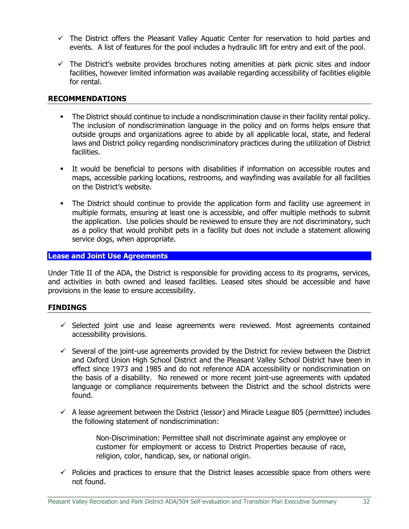- $\checkmark$  The District offers the Pleasant Valley Aquatic Center for reservation to hold parties and events. A list of features for the pool includes a hydraulic lift for entry and exit of the pool.
- $\checkmark$  The District's website provides brochures noting amenities at park picnic sites and indoor facilities, however limited information was available regarding accessibility of facilities eligible for rental.

#### **RECOMMENDATIONS**

- **•** The District should continue to include a nondiscrimination clause in their facility rental policy. The inclusion of nondiscrimination language in the policy and on forms helps ensure that outside groups and organizations agree to abide by all applicable local, state, and federal laws and District policy regarding nondiscriminatory practices during the utilization of District facilities.
- It would be beneficial to persons with disabilities if information on accessible routes and maps, accessible parking locations, restrooms, and wayfinding was available for all facilities on the District's website.
- The District should continue to provide the application form and facility use agreement in multiple formats, ensuring at least one is accessible, and offer multiple methods to submit the application. Use policies should be reviewed to ensure they are not discriminatory, such as a policy that would prohibit pets in a facility but does not include a statement allowing service dogs, when appropriate.

## <span id="page-34-0"></span>**Lease and Joint Use Agreements**

Under Title II of the ADA, the District is responsible for providing access to its programs, services, and activities in both owned and leased facilities. Leased sites should be accessible and have provisions in the lease to ensure accessibility.

#### **FINDINGS**

- $\checkmark$  Selected joint use and lease agreements were reviewed. Most agreements contained accessibility provisions.
- $\checkmark$  Several of the joint-use agreements provided by the District for review between the District and Oxford Union High School District and the Pleasant Valley School District have been in effect since 1973 and 1985 and do not reference ADA accessibility or nondiscrimination on the basis of a disability. No renewed or more recent joint-use agreements with updated language or compliance requirements between the District and the school districts were found.
- $\checkmark$  A lease agreement between the District (lessor) and Miracle League 805 (permittee) includes the following statement of nondiscrimination:

Non-Discrimination: Permittee shall not discriminate against any employee or customer for employment or access to District Properties because of race, religion, color, handicap, sex, or national origin.

 $\checkmark$  Policies and practices to ensure that the District leases accessible space from others were not found.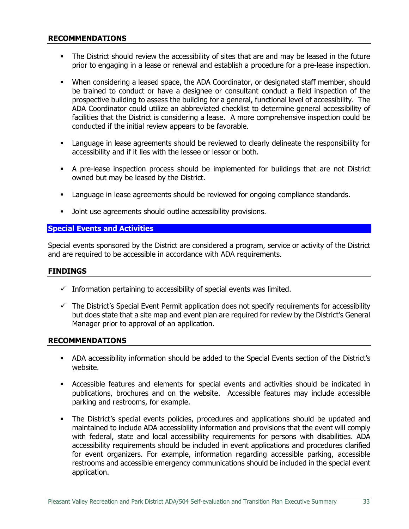#### **RECOMMENDATIONS**

- The District should review the accessibility of sites that are and may be leased in the future prior to engaging in a lease or renewal and establish a procedure for a pre-lease inspection.
- When considering a leased space, the ADA Coordinator, or designated staff member, should be trained to conduct or have a designee or consultant conduct a field inspection of the prospective building to assess the building for a general, functional level of accessibility. The ADA Coordinator could utilize an abbreviated checklist to determine general accessibility of facilities that the District is considering a lease. A more comprehensive inspection could be conducted if the initial review appears to be favorable.
- **EXED** Language in lease agreements should be reviewed to clearly delineate the responsibility for accessibility and if it lies with the lessee or lessor or both.
- A pre-lease inspection process should be implemented for buildings that are not District owned but may be leased by the District.
- **EXECT** Language in lease agreements should be reviewed for ongoing compliance standards.
- Joint use agreements should outline accessibility provisions.

#### <span id="page-35-0"></span>**Special Events and Activities**

Special events sponsored by the District are considered a program, service or activity of the District and are required to be accessible in accordance with ADA requirements.

#### **FINDINGS**

- $\checkmark$  Information pertaining to accessibility of special events was limited.
- $\checkmark$  The District's Special Event Permit application does not specify requirements for accessibility but does state that a site map and event plan are required for review by the District's General Manager prior to approval of an application.

#### **RECOMMENDATIONS**

- ADA accessibility information should be added to the Special Events section of the District's website.
- Accessible features and elements for special events and activities should be indicated in publications, brochures and on the website. Accessible features may include accessible parking and restrooms, for example.
- The District's special events policies, procedures and applications should be updated and maintained to include ADA accessibility information and provisions that the event will comply with federal, state and local accessibility requirements for persons with disabilities. ADA accessibility requirements should be included in event applications and procedures clarified for event organizers. For example, information regarding accessible parking, accessible restrooms and accessible emergency communications should be included in the special event application.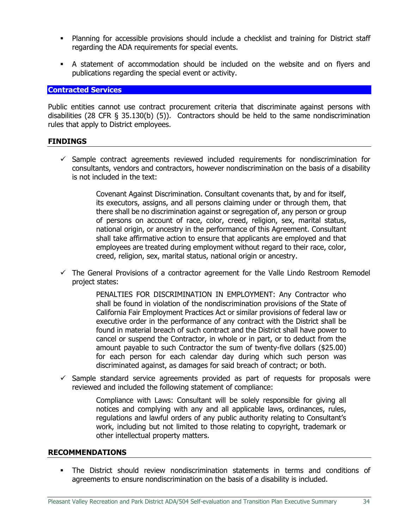- **•** Planning for accessible provisions should include a checklist and training for District staff regarding the ADA requirements for special events.
- A statement of accommodation should be included on the website and on flyers and publications regarding the special event or activity.

#### <span id="page-36-0"></span>**Contracted Services**

Public entities cannot use contract procurement criteria that discriminate against persons with disabilities (28 CFR § 35.130(b) (5)). Contractors should be held to the same nondiscrimination rules that apply to District employees.

#### **FINDINGS**

 $\checkmark$  Sample contract agreements reviewed included requirements for nondiscrimination for consultants, vendors and contractors, however nondiscrimination on the basis of a disability is not included in the text:

> Covenant Against Discrimination. Consultant covenants that, by and for itself, its executors, assigns, and all persons claiming under or through them, that there shall be no discrimination against or segregation of, any person or group of persons on account of race, color, creed, religion, sex, marital status, national origin, or ancestry in the performance of this Agreement. Consultant shall take affirmative action to ensure that applicants are employed and that employees are treated during employment without regard to their race, color, creed, religion, sex, marital status, national origin or ancestry.

 $\checkmark$  The General Provisions of a contractor agreement for the Valle Lindo Restroom Remodel project states:

> PENALTIES FOR DISCRIMINATION IN EMPLOYMENT: Any Contractor who shall be found in violation of the nondiscrimination provisions of the State of California Fair Employment Practices Act or similar provisions of federal law or executive order in the performance of any contract with the District shall be found in material breach of such contract and the District shall have power to cancel or suspend the Contractor, in whole or in part, or to deduct from the amount payable to such Contractor the sum of twenty-five dollars (\$25.00) for each person for each calendar day during which such person was discriminated against, as damages for said breach of contract; or both.

 $\checkmark$  Sample standard service agreements provided as part of requests for proposals were reviewed and included the following statement of compliance:

> Compliance with Laws: Consultant will be solely responsible for giving all notices and complying with any and all applicable laws, ordinances, rules, regulations and lawful orders of any public authority relating to Consultant's work, including but not limited to those relating to copyright, trademark or other intellectual property matters.

#### **RECOMMENDATIONS**

**•** The District should review nondiscrimination statements in terms and conditions of agreements to ensure nondiscrimination on the basis of a disability is included.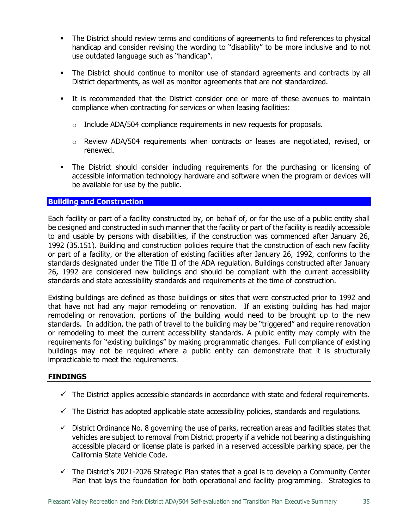- The District should review terms and conditions of agreements to find references to physical handicap and consider revising the wording to "disability" to be more inclusive and to not use outdated language such as "handicap".
- **.** The District should continue to monitor use of standard agreements and contracts by all District departments, as well as monitor agreements that are not standardized.
- **•** It is recommended that the District consider one or more of these avenues to maintain compliance when contracting for services or when leasing facilities:
	- $\circ$  Include ADA/504 compliance requirements in new requests for proposals.
	- $\circ$  Review ADA/504 requirements when contracts or leases are negotiated, revised, or renewed.
- The District should consider including requirements for the purchasing or licensing of accessible information technology hardware and software when the program or devices will be available for use by the public.

#### <span id="page-37-0"></span>**Building and Construction**

Each facility or part of a facility constructed by, on behalf of, or for the use of a public entity shall be designed and constructed in such manner that the facility or part of the facility is readily accessible to and usable by persons with disabilities, if the construction was commenced after January 26, 1992 (35.151). Building and construction policies require that the construction of each new facility or part of a facility, or the alteration of existing facilities after January 26, 1992, conforms to the standards designated under the Title II of the ADA regulation. Buildings constructed after January 26, 1992 are considered new buildings and should be compliant with the current accessibility standards and state accessibility standards and requirements at the time of construction.

Existing buildings are defined as those buildings or sites that were constructed prior to 1992 and that have not had any major remodeling or renovation. If an existing building has had major remodeling or renovation, portions of the building would need to be brought up to the new standards. In addition, the path of travel to the building may be "triggered" and require renovation or remodeling to meet the current accessibility standards. A public entity may comply with the requirements for "existing buildings" by making programmatic changes. Full compliance of existing buildings may not be required where a public entity can demonstrate that it is structurally impracticable to meet the requirements.

## **FINDINGS**

- $\checkmark$  The District applies accessible standards in accordance with state and federal requirements.
- $\checkmark$  The District has adopted applicable state accessibility policies, standards and regulations.
- $\checkmark$  District Ordinance No. 8 governing the use of parks, recreation areas and facilities states that vehicles are subject to removal from District property if a vehicle not bearing a distinguishing accessible placard or license plate is parked in a reserved accessible parking space, per the California State Vehicle Code.
- $\checkmark$  The District's 2021-2026 Strategic Plan states that a goal is to develop a Community Center Plan that lays the foundation for both operational and facility programming. Strategies to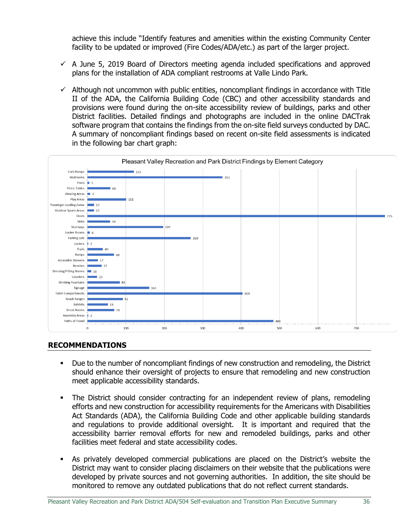achieve this include "Identify features and amenities within the existing Community Center facility to be updated or improved (Fire Codes/ADA/etc.) as part of the larger project.

- $\checkmark$  A June 5, 2019 Board of Directors meeting agenda included specifications and approved plans for the installation of ADA compliant restrooms at Valle Lindo Park.
- $\checkmark$  Although not uncommon with public entities, noncompliant findings in accordance with Title II of the ADA, the California Building Code (CBC) and other accessibility standards and provisions were found during the on-site accessibility review of buildings, parks and other District facilities. Detailed findings and photographs are included in the online DACTrak software program that contains the findings from the on-site field surveys conducted by DAC. A summary of noncompliant findings based on recent on-site field assessments is indicated in the following bar chart graph:

|                                       | Pleasant Valley Recreation and Park District Findings by Element Category |     |     |     |     |            |     |            |  |
|---------------------------------------|---------------------------------------------------------------------------|-----|-----|-----|-----|------------|-----|------------|--|
| Curb Ramps                            |                                                                           | 121 |     |     |     |            |     |            |  |
| Restrooms                             |                                                                           |     |     | 352 |     |            |     |            |  |
| Pools $\blacksquare$ 5                |                                                                           |     |     |     |     |            |     |            |  |
| Picnic Tables                         | 60                                                                        |     |     |     |     |            |     |            |  |
| Viewing Areas $-$ 7                   |                                                                           |     |     |     |     |            |     |            |  |
| Play Areas<br>Passenger Loading Zones |                                                                           | 101 |     |     |     |            |     |            |  |
|                                       | 17                                                                        |     |     |     |     |            |     |            |  |
| Outdoor Sports Areas - 17<br>Doors    |                                                                           |     |     |     |     |            |     | <b>775</b> |  |
| Sinks                                 | $-59$                                                                     |     |     |     |     |            |     |            |  |
| Stairways                             |                                                                           |     | 197 |     |     |            |     |            |  |
| Locker Rooms - 6                      |                                                                           |     |     |     |     |            |     |            |  |
| Parking Lots                          |                                                                           |     | 269 |     |     |            |     |            |  |
| Lockers $\frac{1}{2}$                 |                                                                           |     |     |     |     |            |     |            |  |
| Trails                                | 40                                                                        |     |     |     |     |            |     |            |  |
| Ramps                                 | 169                                                                       |     |     |     |     |            |     |            |  |
| Accessible Showers                    | $-27$                                                                     |     |     |     |     |            |     |            |  |
| Benches                               | $-37$                                                                     |     |     |     |     |            |     |            |  |
| Dressing/Fitting Rooms - 10           |                                                                           |     |     |     |     |            |     |            |  |
|                                       | Counters - 25                                                             |     |     |     |     |            |     |            |  |
| <b>Drinking Fountains</b>             | 84                                                                        |     |     |     |     |            |     |            |  |
| Signage                               |                                                                           | 161 |     |     |     |            |     |            |  |
| <b>Toilet Compartments</b>            |                                                                           |     |     |     | 404 |            |     |            |  |
| Reach Ranges                          |                                                                           | 92  |     |     |     |            |     |            |  |
| Exhibits                              | $\overline{53}$                                                           |     |     |     |     |            |     |            |  |
| <b>Break Rooms</b>                    | $\blacksquare$ 70                                                         |     |     |     |     |            |     |            |  |
| Assembly Areas<br>Paths of Travel     | $+2$                                                                      |     |     |     |     |            |     |            |  |
|                                       |                                                                           |     |     |     |     |            |     |            |  |
|                                       | $\boldsymbol{0}$                                                          | 100 | 200 | 300 | 400 | 500<br>600 | 700 |            |  |

## **RECOMMENDATIONS**

- Due to the number of noncompliant findings of new construction and remodeling, the District should enhance their oversight of projects to ensure that remodeling and new construction meet applicable accessibility standards.
- The District should consider contracting for an independent review of plans, remodeling efforts and new construction for accessibility requirements for the Americans with Disabilities Act Standards (ADA), the California Building Code and other applicable building standards and regulations to provide additional oversight. It is important and required that the accessibility barrier removal efforts for new and remodeled buildings, parks and other facilities meet federal and state accessibility codes.
- As privately developed commercial publications are placed on the District's website the District may want to consider placing disclaimers on their website that the publications were developed by private sources and not governing authorities. In addition, the site should be monitored to remove any outdated publications that do not reflect current standards.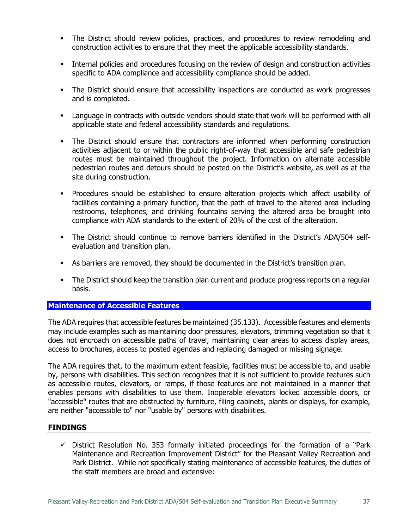- **•** The District should review policies, practices, and procedures to review remodeling and construction activities to ensure that they meet the applicable accessibility standards.
- **•** Internal policies and procedures focusing on the review of design and construction activities specific to ADA compliance and accessibility compliance should be added.
- **•** The District should ensure that accessibility inspections are conducted as work progresses and is completed.
- Language in contracts with outside vendors should state that work will be performed with all applicable state and federal accessibility standards and regulations.
- **•** The District should ensure that contractors are informed when performing construction activities adjacent to or within the public right-of-way that accessible and safe pedestrian routes must be maintained throughout the project. Information on alternate accessible pedestrian routes and detours should be posted on the District's website, as well as at the site during construction.
- Procedures should be established to ensure alteration projects which affect usability of facilities containing a primary function, that the path of travel to the altered area including restrooms, telephones, and drinking fountains serving the altered area be brought into compliance with ADA standards to the extent of 20% of the cost of the alteration.
- The District should continue to remove barriers identified in the District's ADA/504 selfevaluation and transition plan.
- As barriers are removed, they should be documented in the District's transition plan.
- **•** The District should keep the transition plan current and produce progress reports on a regular basis.

## <span id="page-39-0"></span>**Maintenance of Accessible Features**

The ADA requires that accessible features be maintained (35.133). Accessible features and elements may include examples such as maintaining door pressures, elevators, trimming vegetation so that it does not encroach on accessible paths of travel, maintaining clear areas to access display areas, access to brochures, access to posted agendas and replacing damaged or missing signage.

The ADA requires that, to the maximum extent feasible, facilities must be accessible to, and usable by, persons with disabilities. This section recognizes that it is not sufficient to provide features such as accessible routes, elevators, or ramps, if those features are not maintained in a manner that enables persons with disabilities to use them. Inoperable elevators locked accessible doors, or "accessible" routes that are obstructed by furniture, filing cabinets, plants or displays, for example, are neither "accessible to" nor "usable by" persons with disabilities.

#### **FINDINGS**

 $\checkmark$  District Resolution No. 353 formally initiated proceedings for the formation of a "Park Maintenance and Recreation Improvement District" for the Pleasant Valley Recreation and Park District. While not specifically stating maintenance of accessible features, the duties of the staff members are broad and extensive: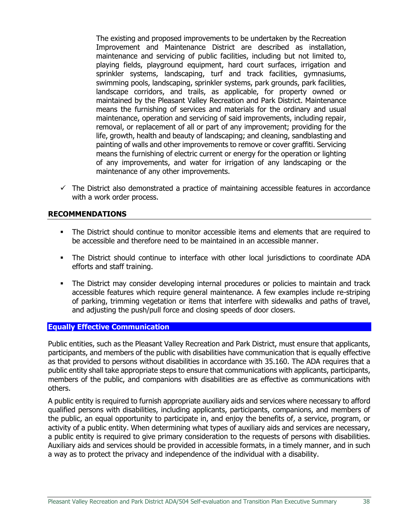The existing and proposed improvements to be undertaken by the Recreation Improvement and Maintenance District are described as installation, maintenance and servicing of public facilities, including but not limited to, playing fields, playground equipment, hard court surfaces, irrigation and sprinkler systems, landscaping, turf and track facilities, gymnasiums, swimming pools, landscaping, sprinkler systems, park grounds, park facilities, landscape corridors, and trails, as applicable, for property owned or maintained by the Pleasant Valley Recreation and Park District. Maintenance means the furnishing of services and materials for the ordinary and usual maintenance, operation and servicing of said improvements, including repair, removal, or replacement of all or part of any improvement; providing for the life, growth, health and beauty of landscaping; and cleaning, sandblasting and painting of walls and other improvements to remove or cover graffiti. Servicing means the furnishing of electric current or energy for the operation or lighting of any improvements, and water for irrigation of any landscaping or the maintenance of any other improvements.

 $\checkmark$  The District also demonstrated a practice of maintaining accessible features in accordance with a work order process.

## **RECOMMENDATIONS**

- The District should continue to monitor accessible items and elements that are required to be accessible and therefore need to be maintained in an accessible manner.
- The District should continue to interface with other local jurisdictions to coordinate ADA efforts and staff training.
- The District may consider developing internal procedures or policies to maintain and track accessible features which require general maintenance. A few examples include re-striping of parking, trimming vegetation or items that interfere with sidewalks and paths of travel, and adjusting the push/pull force and closing speeds of door closers.

## <span id="page-40-0"></span>**Equally Effective Communication**

Public entities, such as the Pleasant Valley Recreation and Park District, must ensure that applicants, participants, and members of the public with disabilities have communication that is equally effective as that provided to persons without disabilities in accordance with 35.160. The ADA requires that a public entity shall take appropriate steps to ensure that communications with applicants, participants, members of the public, and companions with disabilities are as effective as communications with others.

A public entity is required to furnish appropriate auxiliary aids and services where necessary to afford qualified persons with disabilities, including applicants, participants, companions, and members of the public, an equal opportunity to participate in, and enjoy the benefits of, a service, program, or activity of a public entity. When determining what types of auxiliary aids and services are necessary, a public entity is required to give primary consideration to the requests of persons with disabilities. Auxiliary aids and services should be provided in accessible formats, in a timely manner, and in such a way as to protect the privacy and independence of the individual with a disability.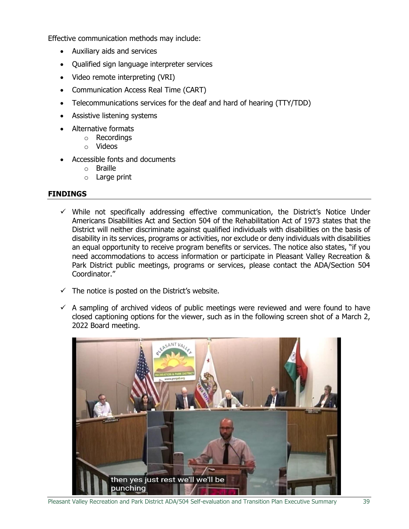Effective communication methods may include:

- Auxiliary aids and services
- Qualified sign language interpreter services
- Video remote interpreting (VRI)
- Communication Access Real Time (CART)
- Telecommunications services for the deaf and hard of hearing (TTY/TDD)
- Assistive listening systems
- Alternative formats
	- o Recordings
	- o Videos
- Accessible fonts and documents
	- o Braille
	- o Large print

## **FINDINGS**

- $\checkmark$  While not specifically addressing effective communication, the District's Notice Under Americans Disabilities Act and Section 504 of the Rehabilitation Act of 1973 states that the District will neither discriminate against qualified individuals with disabilities on the basis of disability in its services, programs or activities, nor exclude or deny individuals with disabilities an equal opportunity to receive program benefits or services. The notice also states, "if you need accommodations to access information or participate in Pleasant Valley Recreation & Park District public meetings, programs or services, please contact the ADA/Section 504 Coordinator."
- $\checkmark$  The notice is posted on the District's website.
- $\checkmark$  A sampling of archived videos of public meetings were reviewed and were found to have closed captioning options for the viewer, such as in the following screen shot of a March 2, 2022 Board meeting.

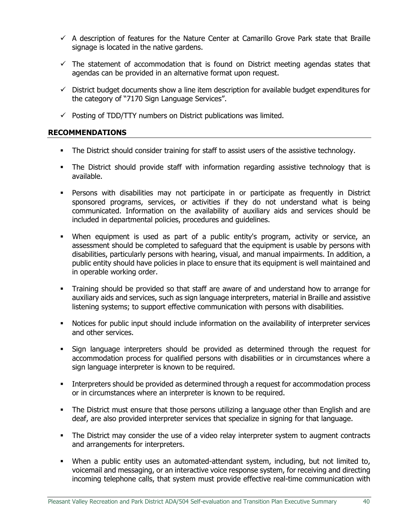- $\checkmark$  A description of features for the Nature Center at Camarillo Grove Park state that Braille signage is located in the native gardens.
- $\checkmark$  The statement of accommodation that is found on District meeting agendas states that agendas can be provided in an alternative format upon request.
- $\checkmark$  District budget documents show a line item description for available budget expenditures for the category of "7170 Sign Language Services".
- $\checkmark$  Posting of TDD/TTY numbers on District publications was limited.

## **RECOMMENDATIONS**

- **•** The District should consider training for staff to assist users of the assistive technology.
- The District should provide staff with information regarding assistive technology that is available.
- **•** Persons with disabilities may not participate in or participate as frequently in District sponsored programs, services, or activities if they do not understand what is being communicated. Information on the availability of auxiliary aids and services should be included in departmental policies, procedures and guidelines.
- When equipment is used as part of a public entity's program, activity or service, an assessment should be completed to safeguard that the equipment is usable by persons with disabilities, particularly persons with hearing, visual, and manual impairments. In addition, a public entity should have policies in place to ensure that its equipment is well maintained and in operable working order.
- Training should be provided so that staff are aware of and understand how to arrange for auxiliary aids and services, such as sign language interpreters, material in Braille and assistive listening systems; to support effective communication with persons with disabilities.
- Notices for public input should include information on the availability of interpreter services and other services.
- Sign language interpreters should be provided as determined through the request for accommodation process for qualified persons with disabilities or in circumstances where a sign language interpreter is known to be required.
- **■** Interpreters should be provided as determined through a request for accommodation process or in circumstances where an interpreter is known to be required.
- The District must ensure that those persons utilizing a language other than English and are deaf, are also provided interpreter services that specialize in signing for that language.
- The District may consider the use of a video relay interpreter system to augment contracts and arrangements for interpreters.
- When a public entity uses an automated-attendant system, including, but not limited to, voicemail and messaging, or an interactive voice response system, for receiving and directing incoming telephone calls, that system must provide effective real-time communication with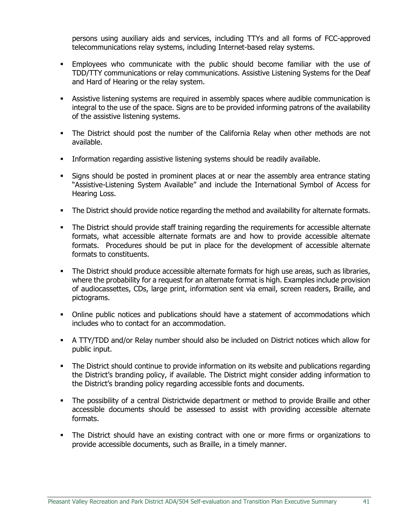persons using auxiliary aids and services, including TTYs and all forms of FCC-approved telecommunications relay systems, including Internet-based relay systems.

- Employees who communicate with the public should become familiar with the use of TDD/TTY communications or relay communications. Assistive Listening Systems for the Deaf and Hard of Hearing or the relay system.
- **•** Assistive listening systems are required in assembly spaces where audible communication is integral to the use of the space. Signs are to be provided informing patrons of the availability of the assistive listening systems.
- **•** The District should post the number of the California Relay when other methods are not available.
- Information regarding assistive listening systems should be readily available.
- **•** Signs should be posted in prominent places at or near the assembly area entrance stating "Assistive-Listening System Available" and include the International Symbol of Access for Hearing Loss.
- **The District should provide notice regarding the method and availability for alternate formats.**
- The District should provide staff training regarding the requirements for accessible alternate formats, what accessible alternate formats are and how to provide accessible alternate formats. Procedures should be put in place for the development of accessible alternate formats to constituents.
- **The District should produce accessible alternate formats for high use areas, such as libraries,** where the probability for a request for an alternate format is high. Examples include provision of audiocassettes, CDs, large print, information sent via email, screen readers, Braille, and pictograms.
- **•** Online public notices and publications should have a statement of accommodations which includes who to contact for an accommodation.
- **•** A TTY/TDD and/or Relay number should also be included on District notices which allow for public input.
- The District should continue to provide information on its website and publications regarding the District's branding policy, if available. The District might consider adding information to the District's branding policy regarding accessible fonts and documents.
- The possibility of a central Districtwide department or method to provide Braille and other accessible documents should be assessed to assist with providing accessible alternate formats.
- The District should have an existing contract with one or more firms or organizations to provide accessible documents, such as Braille, in a timely manner.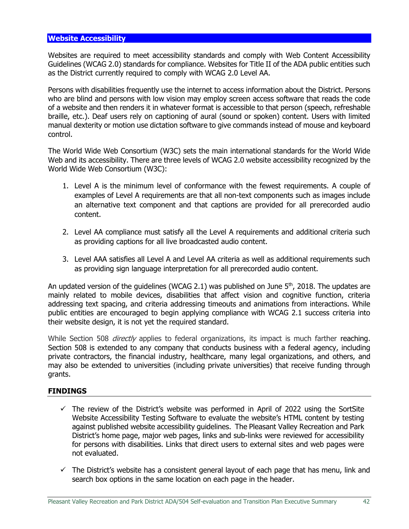<span id="page-44-0"></span>Websites are required to meet accessibility standards and comply with Web Content Accessibility Guidelines (WCAG 2.0) standards for compliance. Websites for Title II of the ADA public entities such as the District currently required to comply with WCAG 2.0 Level AA.

Persons with disabilities frequently use the internet to access information about the District. Persons who are blind and persons with low vision may employ screen access software that reads the code of a website and then renders it in whatever format is accessible to that person (speech, refreshable braille, etc.). Deaf users rely on captioning of aural (sound or spoken) content. Users with limited manual dexterity or motion use dictation software to give commands instead of mouse and keyboard control.

The World Wide Web Consortium (W3C) sets the main international standards for the World Wide Web and its accessibility. There are three levels of WCAG 2.0 website accessibility recognized by the World Wide Web Consortium (W3C):

- 1. Level A is the minimum level of conformance with the fewest requirements. A couple of examples of Level A requirements are that all non-text components such as images include an alternative text component and that captions are provided for all prerecorded audio content.
- 2. Level AA compliance must satisfy all the Level A requirements and additional criteria such as providing captions for all live broadcasted audio content.
- 3. Level AAA satisfies all Level A and Level AA criteria as well as additional requirements such as providing sign language interpretation for all prerecorded audio content.

An updated version of the guidelines (WCAG 2.1) was published on June  $5<sup>th</sup>$ , 2018. The updates are mainly related to mobile devices, disabilities that affect vision and cognitive function, criteria addressing text spacing, and criteria addressing timeouts and animations from interactions. While public entities are encouraged to begin applying compliance with WCAG 2.1 success criteria into their website design, it is not yet the required standard.

While Section 508 *directly* applies to federal organizations, its impact is much farther reaching. Section 508 is extended to any company that conducts business with a federal agency, including [private contractors, the financial industry, healthcare, many legal organizations,](https://brailleworks.com/508-compliance-needs-compliant/#WhoNeedstobe508Compliant?) and others, and may also be extended to universities (including private universities) that receive funding through grants.

## **FINDINGS**

- $\checkmark$  The review of the District's website was performed in April of 2022 using the SortSite Website Accessibility Testing Software to evaluate the website's HTML content by testing against published website accessibility guidelines. The Pleasant Valley Recreation and Park District's home page, major web pages, links and sub-links were reviewed for accessibility for persons with disabilities. Links that direct users to external sites and web pages were not evaluated.
- $\checkmark$  The District's website has a consistent general layout of each page that has menu, link and search box options in the same location on each page in the header.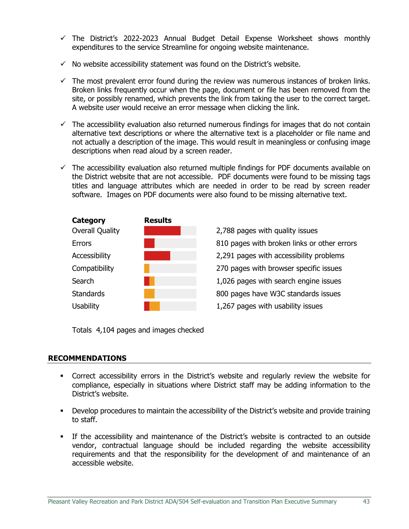- $\checkmark$  The District's 2022-2023 Annual Budget Detail Expense Worksheet shows monthly expenditures to the service Streamline for ongoing website maintenance.
- $\checkmark$  No website accessibility statement was found on the District's website.
- $\checkmark$  The most prevalent error found during the review was numerous instances of broken links. Broken links frequently occur when the page, document or file has been removed from the site, or possibly renamed, which prevents the link from taking the user to the correct target. A website user would receive an error message when clicking the link.
- $\checkmark$  The accessibility evaluation also returned numerous findings for images that do not contain alternative text descriptions or where the alternative text is a placeholder or file name and not actually a description of the image. This would result in meaningless or confusing image descriptions when read aloud by a screen reader.
- $\checkmark$  The accessibility evaluation also returned multiple findings for PDF documents available on the District website that are not accessible. PDF documents were found to be missing tags titles and language attributes which are needed in order to be read by screen reader software. Images on PDF documents were also found to be missing alternative text.



**Errors ERECO ERECO ERECO BEE BEE** 810 pages with broken links or other errors

Totals 4,104 pages and images checked

## **RECOMMENDATIONS**

- **•** Correct accessibility errors in the District's website and regularly review the website for compliance, especially in situations where District staff may be adding information to the District's website.
- **•** Develop procedures to maintain the accessibility of the District's website and provide training to staff.
- **•** If the accessibility and maintenance of the District's website is contracted to an outside vendor, contractual language should be included regarding the website accessibility requirements and that the responsibility for the development of and maintenance of an accessible website.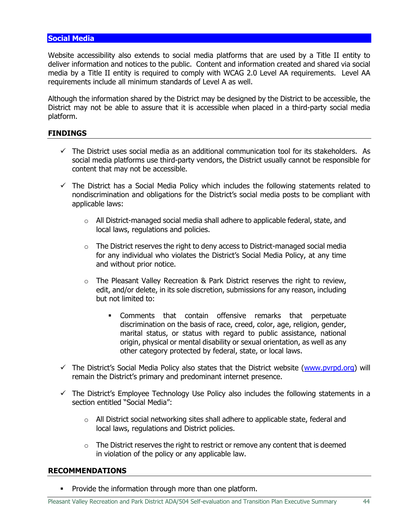#### <span id="page-46-0"></span>**Social Media**

Website accessibility also extends to social media platforms that are used by a Title II entity to deliver information and notices to the public. Content and information created and shared via social media by a Title II entity is required to comply with WCAG 2.0 Level AA requirements. Level AA requirements include all minimum standards of Level A as well.

Although the information shared by the District may be designed by the District to be accessible, the District may not be able to assure that it is accessible when placed in a third-party social media platform.

#### **FINDINGS**

- $\checkmark$  The District uses social media as an additional communication tool for its stakeholders. As social media platforms use third-party vendors, the District usually cannot be responsible for content that may not be accessible.
- $\checkmark$  The District has a Social Media Policy which includes the following statements related to nondiscrimination and obligations for the District's social media posts to be compliant with applicable laws:
	- $\circ$  All District-managed social media shall adhere to applicable federal, state, and local laws, regulations and policies.
	- $\circ$  The District reserves the right to deny access to District-managed social media for any individual who violates the District's Social Media Policy, at any time and without prior notice.
	- $\circ$  The Pleasant Valley Recreation & Park District reserves the right to review, edit, and/or delete, in its sole discretion, submissions for any reason, including but not limited to:
		- Comments that contain offensive remarks that perpetuate discrimination on the basis of race, creed, color, age, religion, gender, marital status, or status with regard to public assistance, national origin, physical or mental disability or sexual orientation, as well as any other category protected by federal, state, or local laws.
- ✓ The District's Social Media Policy also states that the District website [\(www.pvrpd.org\)](http://www.pvrpd.org/) will remain the District's primary and predominant internet presence.
- $\checkmark$  The District's Employee Technology Use Policy also includes the following statements in a section entitled "Social Media":
	- $\circ$  All District social networking sites shall adhere to applicable state, federal and local laws, regulations and District policies.
	- $\circ$  The District reserves the right to restrict or remove any content that is deemed in violation of the policy or any applicable law.

#### **RECOMMENDATIONS**

▪ Provide the information through more than one platform.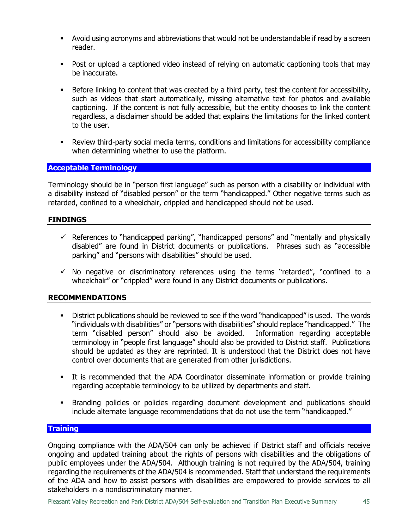- Avoid using acronyms and abbreviations that would not be understandable if read by a screen reader.
- Post or upload a captioned video instead of relying on automatic captioning tools that may be inaccurate.
- **EXEL** Before linking to content that was created by a third party, test the content for accessibility, such as videos that start automatically, missing alternative text for photos and available captioning. If the content is not fully accessible, but the entity chooses to link the content regardless, a disclaimer should be added that explains the limitations for the linked content to the user.
- **•** Review third-party social media terms, conditions and limitations for accessibility compliance when determining whether to use the platform.

## <span id="page-47-0"></span>**Acceptable Terminology**

Terminology should be in "person first language" such as person with a disability or individual with a disability instead of "disabled person" or the term "handicapped." Other negative terms such as retarded, confined to a wheelchair, crippled and handicapped should not be used.

#### **FINDINGS**

- $\checkmark$  References to "handicapped parking", "handicapped persons" and "mentally and physically disabled" are found in District documents or publications. Phrases such as "accessible parking" and "persons with disabilities" should be used.
- $\checkmark$  No negative or discriminatory references using the terms "retarded", "confined to a wheelchair" or "crippled" were found in any District documents or publications.

## **RECOMMENDATIONS**

- **•** District publications should be reviewed to see if the word "handicapped" is used. The words "individuals with disabilities" or "persons with disabilities" should replace "handicapped." The term "disabled person" should also be avoided. Information regarding acceptable terminology in "people first language" should also be provided to District staff. Publications should be updated as they are reprinted. It is understood that the District does not have control over documents that are generated from other jurisdictions.
- **•** It is recommended that the ADA Coordinator disseminate information or provide training regarding acceptable terminology to be utilized by departments and staff.
- Branding policies or policies regarding document development and publications should include alternate language recommendations that do not use the term "handicapped."

#### <span id="page-47-1"></span>**Training**

Ongoing compliance with the ADA/504 can only be achieved if District staff and officials receive ongoing and updated training about the rights of persons with disabilities and the obligations of public employees under the ADA/504. Although training is not required by the ADA/504, training regarding the requirements of the ADA/504 is recommended. Staff that understand the requirements of the ADA and how to assist persons with disabilities are empowered to provide services to all stakeholders in a nondiscriminatory manner.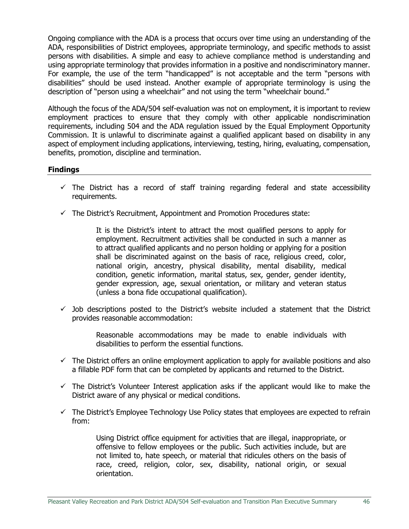Ongoing compliance with the ADA is a process that occurs over time using an understanding of the ADA, responsibilities of District employees, appropriate terminology, and specific methods to assist persons with disabilities. A simple and easy to achieve compliance method is understanding and using appropriate terminology that provides information in a positive and nondiscriminatory manner. For example, the use of the term "handicapped" is not acceptable and the term "persons with disabilities" should be used instead. Another example of appropriate terminology is using the description of "person using a wheelchair" and not using the term "wheelchair bound."

Although the focus of the ADA/504 self-evaluation was not on employment, it is important to review employment practices to ensure that they comply with other applicable nondiscrimination requirements, including 504 and the ADA regulation issued by the Equal Employment Opportunity Commission. It is unlawful to discriminate against a qualified applicant based on disability in any aspect of employment including applications, interviewing, testing, hiring, evaluating, compensation, benefits, promotion, discipline and termination.

#### **Findings**

- $\checkmark$  The District has a record of staff training regarding federal and state accessibility requirements.
- $\checkmark$  The District's Recruitment, Appointment and Promotion Procedures state:

It is the District's intent to attract the most qualified persons to apply for employment. Recruitment activities shall be conducted in such a manner as to attract qualified applicants and no person holding or applying for a position shall be discriminated against on the basis of race, religious creed, color, national origin, ancestry, physical disability, mental disability, medical condition, genetic information, marital status, sex, gender, gender identity, gender expression, age, sexual orientation, or military and veteran status (unless a bona fide occupational qualification).

 $\checkmark$  Job descriptions posted to the District's website included a statement that the District provides reasonable accommodation:

> Reasonable accommodations may be made to enable individuals with disabilities to perform the essential functions.

- $\checkmark$  The District offers an online employment application to apply for available positions and also a fillable PDF form that can be completed by applicants and returned to the District.
- $\checkmark$  The District's Volunteer Interest application asks if the applicant would like to make the District aware of any physical or medical conditions.
- $\checkmark$  The District's Employee Technology Use Policy states that employees are expected to refrain from:

Using District office equipment for activities that are illegal, inappropriate, or offensive to fellow employees or the public. Such activities include, but are not limited to, hate speech, or material that ridicules others on the basis of race, creed, religion, color, sex, disability, national origin, or sexual orientation.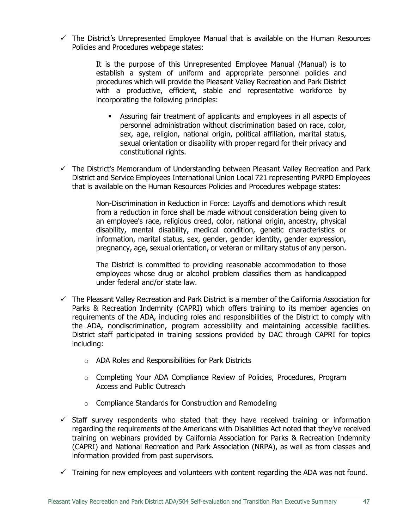$\checkmark$  The District's Unrepresented Employee Manual that is available on the Human Resources Policies and Procedures webpage states:

> It is the purpose of this Unrepresented Employee Manual (Manual) is to establish a system of uniform and appropriate personnel policies and procedures which will provide the Pleasant Valley Recreation and Park District with a productive, efficient, stable and representative workforce by incorporating the following principles:

- Assuring fair treatment of applicants and employees in all aspects of personnel administration without discrimination based on race, color, sex, age, religion, national origin, political affiliation, marital status, sexual orientation or disability with proper regard for their privacy and constitutional rights.
- $\checkmark$  The District's Memorandum of Understanding between Pleasant Valley Recreation and Park District and Service Employees International Union Local 721 representing PVRPD Employees that is available on the Human Resources Policies and Procedures webpage states:

Non-Discrimination in Reduction in Force: Layoffs and demotions which result from a reduction in force shall be made without consideration being given to an employee's race, religious creed, color, national origin, ancestry, physical disability, mental disability, medical condition, genetic characteristics or information, marital status, sex, gender, gender identity, gender expression, pregnancy, age, sexual orientation, or veteran or military status of any person.

The District is committed to providing reasonable accommodation to those employees whose drug or alcohol problem classifies them as handicapped under federal and/or state law.

- ✓ The Pleasant Valley Recreation and Park District is a member of the California Association for Parks & Recreation Indemnity (CAPRI) which offers training to its member agencies on requirements of the ADA, including roles and responsibilities of the District to comply with the ADA, nondiscrimination, program accessibility and maintaining accessible facilities. District staff participated in training sessions provided by DAC through CAPRI for topics including:
	- o ADA Roles and Responsibilities for Park Districts
	- o Completing Your ADA Compliance Review of Policies, Procedures, Program Access and Public Outreach
	- o Compliance Standards for Construction and Remodeling
- $\checkmark$  Staff survey respondents who stated that they have received training or information regarding the requirements of the Americans with Disabilities Act noted that they've received training on webinars provided by California Association for Parks & Recreation Indemnity (CAPRI) and National Recreation and Park Association (NRPA), as well as from classes and information provided from past supervisors.
- $\checkmark$  Training for new employees and volunteers with content regarding the ADA was not found.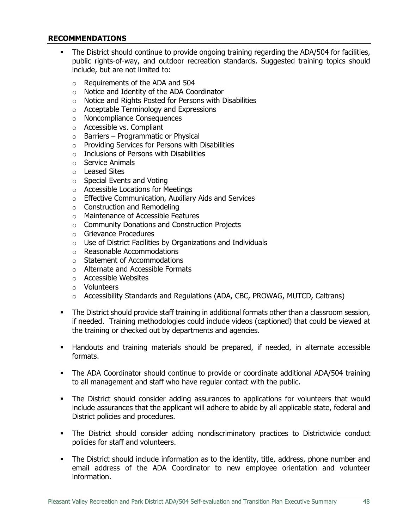## **RECOMMENDATIONS**

- **•** The District should continue to provide ongoing training regarding the ADA/504 for facilities, public rights-of-way, and outdoor recreation standards. Suggested training topics should include, but are not limited to:
	- o Requirements of the ADA and 504
	- o Notice and Identity of the ADA Coordinator
	- o Notice and Rights Posted for Persons with Disabilities
	- o Acceptable Terminology and Expressions
	- o Noncompliance Consequences
	- o Accessible vs. Compliant
	- $\circ$  Barriers Programmatic or Physical
	- o Providing Services for Persons with Disabilities
	- $\circ$  Inclusions of Persons with Disabilities
	- o Service Animals
	- o Leased Sites
	- o Special Events and Voting
	- o Accessible Locations for Meetings
	- o Effective Communication, Auxiliary Aids and Services
	- o Construction and Remodeling
	- o Maintenance of Accessible Features
	- o Community Donations and Construction Projects
	- o Grievance Procedures
	- o Use of District Facilities by Organizations and Individuals
	- o Reasonable Accommodations
	- o Statement of Accommodations
	- o Alternate and Accessible Formats
	- o Accessible Websites
	- o Volunteers
	- $\circ$  Accessibility Standards and Regulations (ADA, CBC, PROWAG, MUTCD, Caltrans)
- The District should provide staff training in additional formats other than a classroom session, if needed. Training methodologies could include videos (captioned) that could be viewed at the training or checked out by departments and agencies.
- Handouts and training materials should be prepared, if needed, in alternate accessible formats.
- The ADA Coordinator should continue to provide or coordinate additional ADA/504 training to all management and staff who have regular contact with the public.
- **•** The District should consider adding assurances to applications for volunteers that would include assurances that the applicant will adhere to abide by all applicable state, federal and District policies and procedures.
- **•** The District should consider adding nondiscriminatory practices to Districtwide conduct policies for staff and volunteers.
- **•** The District should include information as to the identity, title, address, phone number and email address of the ADA Coordinator to new employee orientation and volunteer information.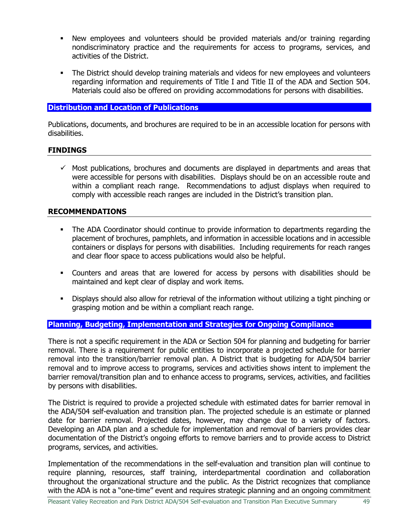- New employees and volunteers should be provided materials and/or training regarding nondiscriminatory practice and the requirements for access to programs, services, and activities of the District.
- **•** The District should develop training materials and videos for new employees and volunteers regarding information and requirements of Title I and Title II of the ADA and Section 504. Materials could also be offered on providing accommodations for persons with disabilities.

## <span id="page-51-0"></span>**Distribution and Location of Publications**

Publications, documents, and brochures are required to be in an accessible location for persons with disabilities.

## **FINDINGS**

 $\checkmark$  Most publications, brochures and documents are displayed in departments and areas that were accessible for persons with disabilities. Displays should be on an accessible route and within a compliant reach range. Recommendations to adjust displays when required to comply with accessible reach ranges are included in the District's transition plan.

## **RECOMMENDATIONS**

- **•** The ADA Coordinator should continue to provide information to departments regarding the placement of brochures, pamphlets, and information in accessible locations and in accessible containers or displays for persons with disabilities. Including requirements for reach ranges and clear floor space to access publications would also be helpful.
- Counters and areas that are lowered for access by persons with disabilities should be maintained and kept clear of display and work items.
- Displays should also allow for retrieval of the information without utilizing a tight pinching or grasping motion and be within a compliant reach range.

## <span id="page-51-1"></span>**Planning, Budgeting, Implementation and Strategies for Ongoing Compliance**

There is not a specific requirement in the ADA or Section 504 for planning and budgeting for barrier removal. There is a requirement for public entities to incorporate a projected schedule for barrier removal into the transition/barrier removal plan. A District that is budgeting for ADA/504 barrier removal and to improve access to programs, services and activities shows intent to implement the barrier removal/transition plan and to enhance access to programs, services, activities, and facilities by persons with disabilities.

The District is required to provide a projected schedule with estimated dates for barrier removal in the ADA/504 self-evaluation and transition plan. The projected schedule is an estimate or planned date for barrier removal. Projected dates, however, may change due to a variety of factors. Developing an ADA plan and a schedule for implementation and removal of barriers provides clear documentation of the District's ongoing efforts to remove barriers and to provide access to District programs, services, and activities.

Implementation of the recommendations in the self-evaluation and transition plan will continue to require planning, resources, staff training, interdepartmental coordination and collaboration throughout the organizational structure and the public. As the District recognizes that compliance with the ADA is not a "one-time" event and requires strategic planning and an ongoing commitment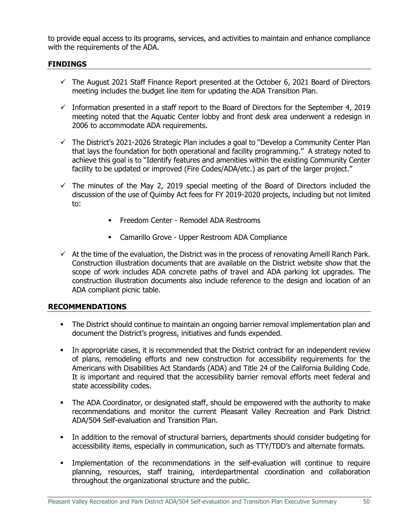to provide equal access to its programs, services, and activities to maintain and enhance compliance with the requirements of the ADA.

## **FINDINGS**

- $\checkmark$  The August 2021 Staff Finance Report presented at the October 6, 2021 Board of Directors meeting includes the budget line item for updating the ADA Transition Plan.
- $\checkmark$  Information presented in a staff report to the Board of Directors for the September 4, 2019 meeting noted that the Aquatic Center lobby and front desk area underwent a redesign in 2006 to accommodate ADA requirements.
- $\checkmark$  The District's 2021-2026 Strategic Plan includes a goal to "Develop a Community Center Plan that lays the foundation for both operational and facility programming." A strategy noted to achieve this goal is to "Identify features and amenities within the existing Community Center facility to be updated or improved (Fire Codes/ADA/etc.) as part of the larger project."
- $\checkmark$  The minutes of the May 2, 2019 special meeting of the Board of Directors included the discussion of the use of Quimby Act fees for FY 2019-2020 projects, including but not limited to:
	- **Example 2** Freedom Center Remodel ADA Restrooms
	- Camarillo Grove Upper Restroom ADA Compliance
- $\checkmark$  At the time of the evaluation, the District was in the process of renovating Arneill Ranch Park. Construction illustration documents that are available on the District website show that the scope of work includes ADA concrete paths of travel and ADA parking lot upgrades. The construction illustration documents also include reference to the design and location of an ADA compliant picnic table.

#### **RECOMMENDATIONS**

- The District should continue to maintain an ongoing barrier removal implementation plan and document the District's progress, initiatives and funds expended.
- In appropriate cases, it is recommended that the District contract for an independent review of plans, remodeling efforts and new construction for accessibility requirements for the Americans with Disabilities Act Standards (ADA) and Title 24 of the California Building Code. It is important and required that the accessibility barrier removal efforts meet federal and state accessibility codes.
- **The ADA Coordinator, or designated staff, should be empowered with the authority to make** recommendations and monitor the current Pleasant Valley Recreation and Park District ADA/504 Self-evaluation and Transition Plan.
- **•** In addition to the removal of structural barriers, departments should consider budgeting for accessibility items, especially in communication, such as TTY/TDD's and alternate formats.
- **.** Implementation of the recommendations in the self-evaluation will continue to require planning, resources, staff training, interdepartmental coordination and collaboration throughout the organizational structure and the public.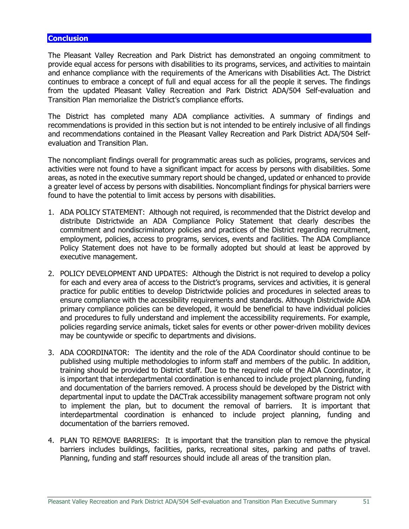#### <span id="page-53-0"></span>**Conclusion**

The Pleasant Valley Recreation and Park District has demonstrated an ongoing commitment to provide equal access for persons with disabilities to its programs, services, and activities to maintain and enhance compliance with the requirements of the Americans with Disabilities Act. The District continues to embrace a concept of full and equal access for all the people it serves. The findings from the updated Pleasant Valley Recreation and Park District ADA/504 Self-evaluation and Transition Plan memorialize the District's compliance efforts.

The District has completed many ADA compliance activities. A summary of findings and recommendations is provided in this section but is not intended to be entirely inclusive of all findings and recommendations contained in the Pleasant Valley Recreation and Park District ADA/504 Selfevaluation and Transition Plan.

The noncompliant findings overall for programmatic areas such as policies, programs, services and activities were not found to have a significant impact for access by persons with disabilities. Some areas, as noted in the executive summary report should be changed, updated or enhanced to provide a greater level of access by persons with disabilities. Noncompliant findings for physical barriers were found to have the potential to limit access by persons with disabilities.

- 1. ADA POLICY STATEMENT: Although not required, is recommended that the District develop and distribute Districtwide an ADA Compliance Policy Statement that clearly describes the commitment and nondiscriminatory policies and practices of the District regarding recruitment, employment, policies, access to programs, services, events and facilities. The ADA Compliance Policy Statement does not have to be formally adopted but should at least be approved by executive management.
- 2. POLICY DEVELOPMENT AND UPDATES: Although the District is not required to develop a policy for each and every area of access to the District's programs, services and activities, it is general practice for public entities to develop Districtwide policies and procedures in selected areas to ensure compliance with the accessibility requirements and standards. Although Districtwide ADA primary compliance policies can be developed, it would be beneficial to have individual policies and procedures to fully understand and implement the accessibility requirements. For example, policies regarding service animals, ticket sales for events or other power-driven mobility devices may be countywide or specific to departments and divisions.
- 3. ADA COORDINATOR: The identity and the role of the ADA Coordinator should continue to be published using multiple methodologies to inform staff and members of the public. In addition, training should be provided to District staff. Due to the required role of the ADA Coordinator, it is important that interdepartmental coordination is enhanced to include project planning, funding and documentation of the barriers removed. A process should be developed by the District with departmental input to update the DACTrak accessibility management software program not only to implement the plan, but to document the removal of barriers. It is important that interdepartmental coordination is enhanced to include project planning, funding and documentation of the barriers removed.
- 4. PLAN TO REMOVE BARRIERS: It is important that the transition plan to remove the physical barriers includes buildings, facilities, parks, recreational sites, parking and paths of travel. Planning, funding and staff resources should include all areas of the transition plan.